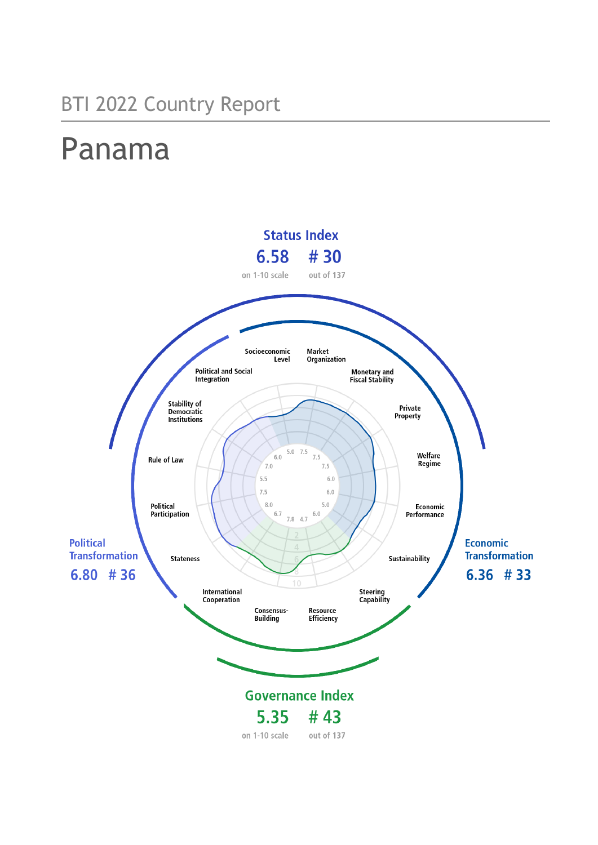## BTI 2022 Country Report

# Panama

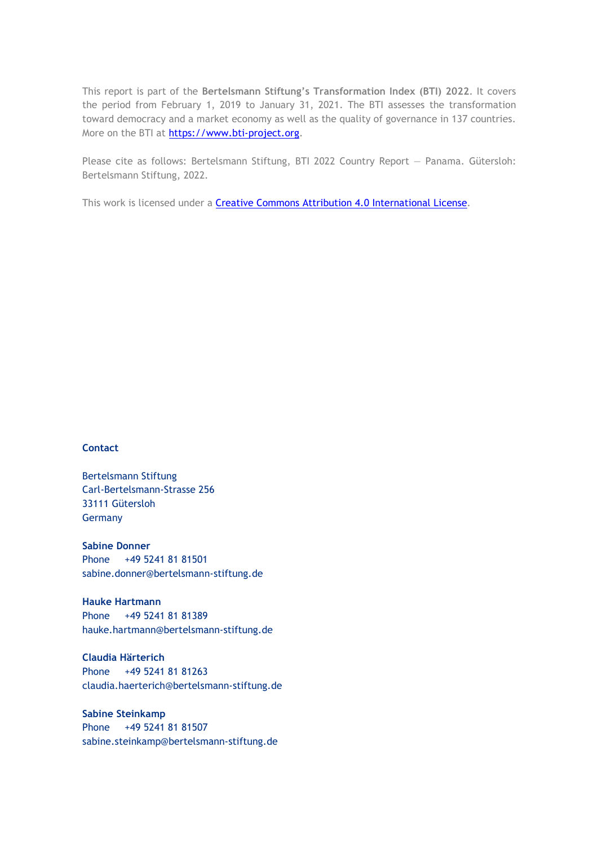This report is part of the **Bertelsmann Stiftung's Transformation Index (BTI) 2022**. It covers the period from February 1, 2019 to January 31, 2021. The BTI assesses the transformation toward democracy and a market economy as well as the quality of governance in 137 countries. More on the BTI at [https://www.bti-project.org.](https://www.bti-project.org/)

Please cite as follows: Bertelsmann Stiftung, BTI 2022 Country Report — Panama. Gütersloh: Bertelsmann Stiftung, 2022.

This work is licensed under a **Creative Commons Attribution 4.0 International License**.

### **Contact**

Bertelsmann Stiftung Carl-Bertelsmann-Strasse 256 33111 Gütersloh Germany

**Sabine Donner** Phone +49 5241 81 81501 sabine.donner@bertelsmann-stiftung.de

**Hauke Hartmann** Phone +49 5241 81 81389 hauke.hartmann@bertelsmann-stiftung.de

**Claudia Härterich** Phone +49 5241 81 81263 claudia.haerterich@bertelsmann-stiftung.de

### **Sabine Steinkamp** Phone +49 5241 81 81507 sabine.steinkamp@bertelsmann-stiftung.de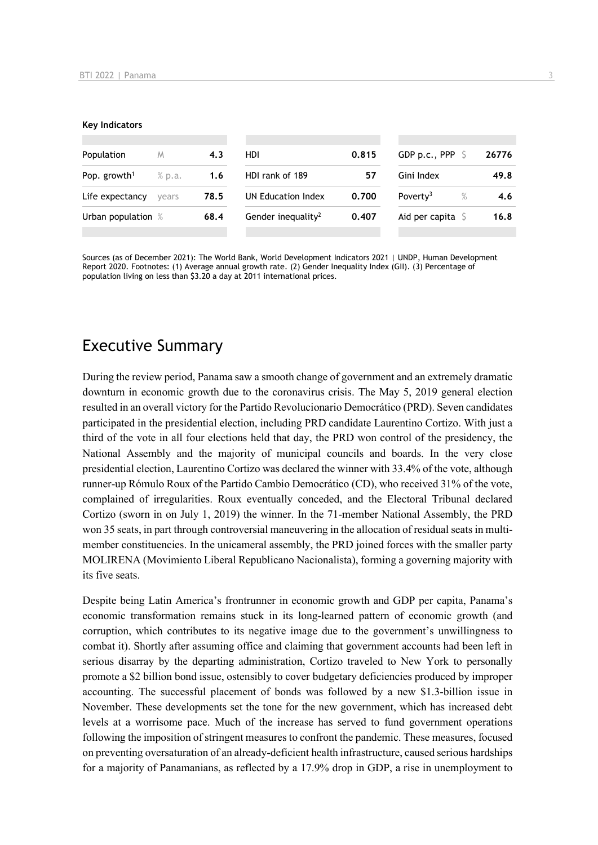#### **Key Indicators**

| Population               | M      | 4.3  | HDI                            | 0.815 | GDP p.c., PPP        |      | 26776 |
|--------------------------|--------|------|--------------------------------|-------|----------------------|------|-------|
| Pop. growth <sup>1</sup> | % p.a. | 1.6  | HDI rank of 189                | 57    | Gini Index           |      | 49.8  |
| Life expectancy          | vears  | 78.5 | UN Education Index             | 0.700 | Poverty <sup>3</sup> | $\%$ | 4.6   |
| Urban population %       |        | 68.4 | Gender inequality <sup>2</sup> | 0.407 | Aid per capita       |      | 16.8  |
|                          |        |      |                                |       |                      |      |       |

Sources (as of December 2021): The World Bank, World Development Indicators 2021 | UNDP, Human Development Report 2020. Footnotes: (1) Average annual growth rate. (2) Gender Inequality Index (GII). (3) Percentage of population living on less than \$3.20 a day at 2011 international prices.

## Executive Summary

During the review period, Panama saw a smooth change of government and an extremely dramatic downturn in economic growth due to the coronavirus crisis. The May 5, 2019 general election resulted in an overall victory for the Partido Revolucionario Democrático (PRD). Seven candidates participated in the presidential election, including PRD candidate Laurentino Cortizo. With just a third of the vote in all four elections held that day, the PRD won control of the presidency, the National Assembly and the majority of municipal councils and boards. In the very close presidential election, Laurentino Cortizo was declared the winner with 33.4% of the vote, although runner-up Rómulo Roux of the Partido Cambio Democrático (CD), who received 31% of the vote, complained of irregularities. Roux eventually conceded, and the Electoral Tribunal declared Cortizo (sworn in on July 1, 2019) the winner. In the 71-member National Assembly, the PRD won 35 seats, in part through controversial maneuvering in the allocation of residual seats in multimember constituencies. In the unicameral assembly, the PRD joined forces with the smaller party MOLIRENA (Movimiento Liberal Republicano Nacionalista), forming a governing majority with its five seats.

Despite being Latin America's frontrunner in economic growth and GDP per capita, Panama's economic transformation remains stuck in its long-learned pattern of economic growth (and corruption, which contributes to its negative image due to the government's unwillingness to combat it). Shortly after assuming office and claiming that government accounts had been left in serious disarray by the departing administration, Cortizo traveled to New York to personally promote a \$2 billion bond issue, ostensibly to cover budgetary deficiencies produced by improper accounting. The successful placement of bonds was followed by a new \$1.3-billion issue in November. These developments set the tone for the new government, which has increased debt levels at a worrisome pace. Much of the increase has served to fund government operations following the imposition of stringent measures to confront the pandemic. These measures, focused on preventing oversaturation of an already-deficient health infrastructure, caused serious hardships for a majority of Panamanians, as reflected by a 17.9% drop in GDP, a rise in unemployment to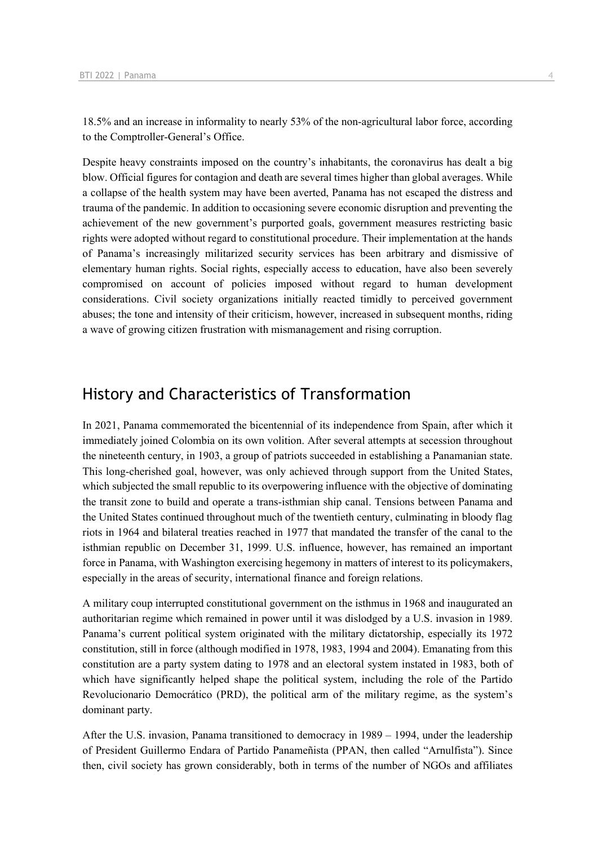18.5% and an increase in informality to nearly 53% of the non-agricultural labor force, according to the Comptroller-General's Office.

Despite heavy constraints imposed on the country's inhabitants, the coronavirus has dealt a big blow. Official figures for contagion and death are several times higher than global averages. While a collapse of the health system may have been averted, Panama has not escaped the distress and trauma of the pandemic. In addition to occasioning severe economic disruption and preventing the achievement of the new government's purported goals, government measures restricting basic rights were adopted without regard to constitutional procedure. Their implementation at the hands of Panama's increasingly militarized security services has been arbitrary and dismissive of elementary human rights. Social rights, especially access to education, have also been severely compromised on account of policies imposed without regard to human development considerations. Civil society organizations initially reacted timidly to perceived government abuses; the tone and intensity of their criticism, however, increased in subsequent months, riding a wave of growing citizen frustration with mismanagement and rising corruption.

## History and Characteristics of Transformation

In 2021, Panama commemorated the bicentennial of its independence from Spain, after which it immediately joined Colombia on its own volition. After several attempts at secession throughout the nineteenth century, in 1903, a group of patriots succeeded in establishing a Panamanian state. This long-cherished goal, however, was only achieved through support from the United States, which subjected the small republic to its overpowering influence with the objective of dominating the transit zone to build and operate a trans-isthmian ship canal. Tensions between Panama and the United States continued throughout much of the twentieth century, culminating in bloody flag riots in 1964 and bilateral treaties reached in 1977 that mandated the transfer of the canal to the isthmian republic on December 31, 1999. U.S. influence, however, has remained an important force in Panama, with Washington exercising hegemony in matters of interest to its policymakers, especially in the areas of security, international finance and foreign relations.

A military coup interrupted constitutional government on the isthmus in 1968 and inaugurated an authoritarian regime which remained in power until it was dislodged by a U.S. invasion in 1989. Panama's current political system originated with the military dictatorship, especially its 1972 constitution, still in force (although modified in 1978, 1983, 1994 and 2004). Emanating from this constitution are a party system dating to 1978 and an electoral system instated in 1983, both of which have significantly helped shape the political system, including the role of the Partido Revolucionario Democrático (PRD), the political arm of the military regime, as the system's dominant party.

After the U.S. invasion, Panama transitioned to democracy in 1989 – 1994, under the leadership of President Guillermo Endara of Partido Panameñista (PPAN, then called "Arnulfista"). Since then, civil society has grown considerably, both in terms of the number of NGOs and affiliates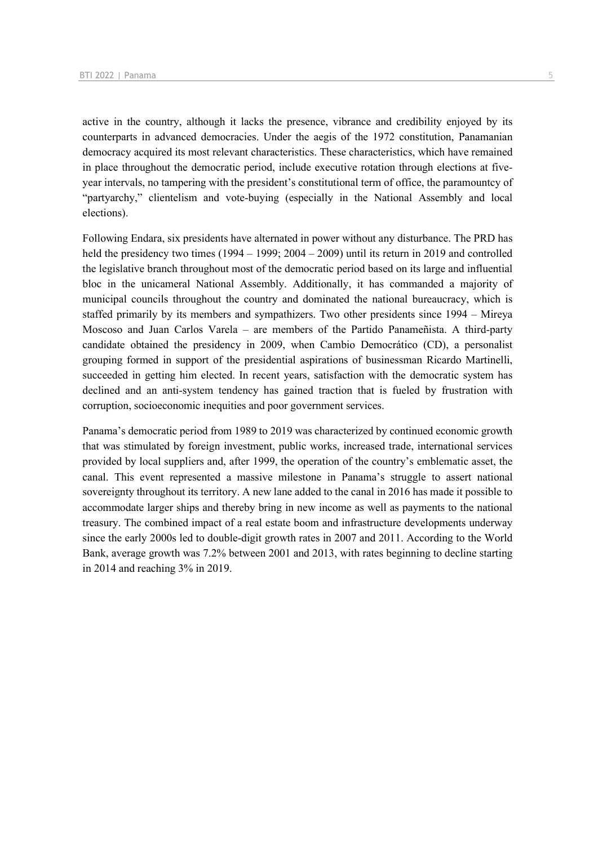active in the country, although it lacks the presence, vibrance and credibility enjoyed by its counterparts in advanced democracies. Under the aegis of the 1972 constitution, Panamanian democracy acquired its most relevant characteristics. These characteristics, which have remained in place throughout the democratic period, include executive rotation through elections at fiveyear intervals, no tampering with the president's constitutional term of office, the paramountcy of "partyarchy," clientelism and vote-buying (especially in the National Assembly and local elections).

Following Endara, six presidents have alternated in power without any disturbance. The PRD has held the presidency two times  $(1994 - 1999; 2004 - 2009)$  until its return in 2019 and controlled the legislative branch throughout most of the democratic period based on its large and influential bloc in the unicameral National Assembly. Additionally, it has commanded a majority of municipal councils throughout the country and dominated the national bureaucracy, which is staffed primarily by its members and sympathizers. Two other presidents since 1994 – Mireya Moscoso and Juan Carlos Varela – are members of the Partido Panameñista. A third-party candidate obtained the presidency in 2009, when Cambio Democrático (CD), a personalist grouping formed in support of the presidential aspirations of businessman Ricardo Martinelli, succeeded in getting him elected. In recent years, satisfaction with the democratic system has declined and an anti-system tendency has gained traction that is fueled by frustration with corruption, socioeconomic inequities and poor government services.

Panama's democratic period from 1989 to 2019 was characterized by continued economic growth that was stimulated by foreign investment, public works, increased trade, international services provided by local suppliers and, after 1999, the operation of the country's emblematic asset, the canal. This event represented a massive milestone in Panama's struggle to assert national sovereignty throughout its territory. A new lane added to the canal in 2016 has made it possible to accommodate larger ships and thereby bring in new income as well as payments to the national treasury. The combined impact of a real estate boom and infrastructure developments underway since the early 2000s led to double-digit growth rates in 2007 and 2011. According to the World Bank, average growth was 7.2% between 2001 and 2013, with rates beginning to decline starting in 2014 and reaching 3% in 2019.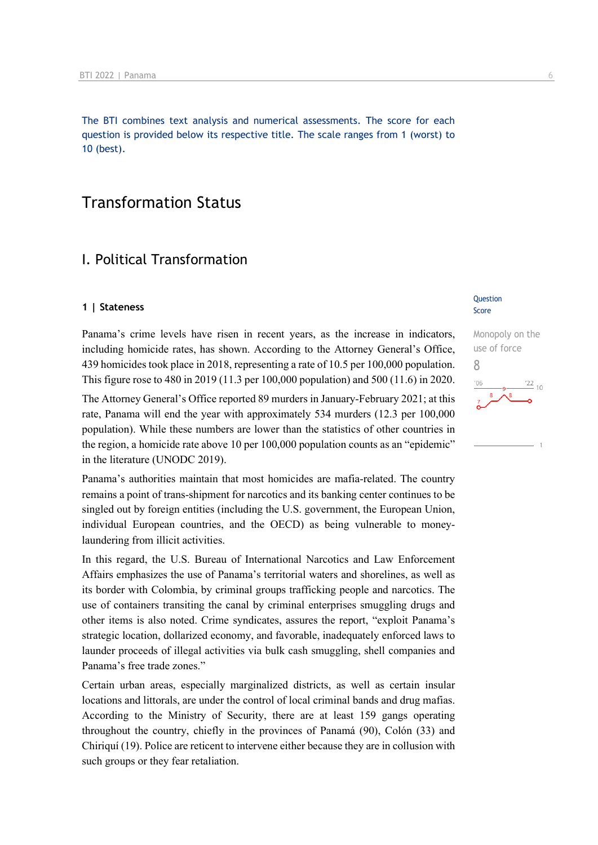The BTI combines text analysis and numerical assessments. The score for each question is provided below its respective title. The scale ranges from 1 (worst) to 10 (best).

## Transformation Status

### I. Political Transformation

### **1 | Stateness**

Panama's crime levels have risen in recent years, as the increase in indicators, including homicide rates, has shown. According to the Attorney General's Office, 439 homicides took place in 2018, representing a rate of 10.5 per 100,000 population. This figure rose to 480 in 2019 (11.3 per 100,000 population) and 500 (11.6) in 2020.

The Attorney General's Office reported 89 murders in January-February 2021; at this rate, Panama will end the year with approximately 534 murders (12.3 per 100,000 population). While these numbers are lower than the statistics of other countries in the region, a homicide rate above 10 per 100,000 population counts as an "epidemic" in the literature (UNODC 2019).

Panama's authorities maintain that most homicides are mafia-related. The country remains a point of trans-shipment for narcotics and its banking center continues to be singled out by foreign entities (including the U.S. government, the European Union, individual European countries, and the OECD) as being vulnerable to moneylaundering from illicit activities.

In this regard, the U.S. Bureau of International Narcotics and Law Enforcement Affairs emphasizes the use of Panama's territorial waters and shorelines, as well as its border with Colombia, by criminal groups trafficking people and narcotics. The use of containers transiting the canal by criminal enterprises smuggling drugs and other items is also noted. Crime syndicates, assures the report, "exploit Panama's strategic location, dollarized economy, and favorable, inadequately enforced laws to launder proceeds of illegal activities via bulk cash smuggling, shell companies and Panama's free trade zones."

Certain urban areas, especially marginalized districts, as well as certain insular locations and littorals, are under the control of local criminal bands and drug mafias. According to the Ministry of Security, there are at least 159 gangs operating throughout the country, chiefly in the provinces of Panamá (90), Colón (33) and Chiriquí (19). Police are reticent to intervene either because they are in collusion with such groups or they fear retaliation.

### Question Score

## Monopoly on the use of force 8 $\frac{22}{10}$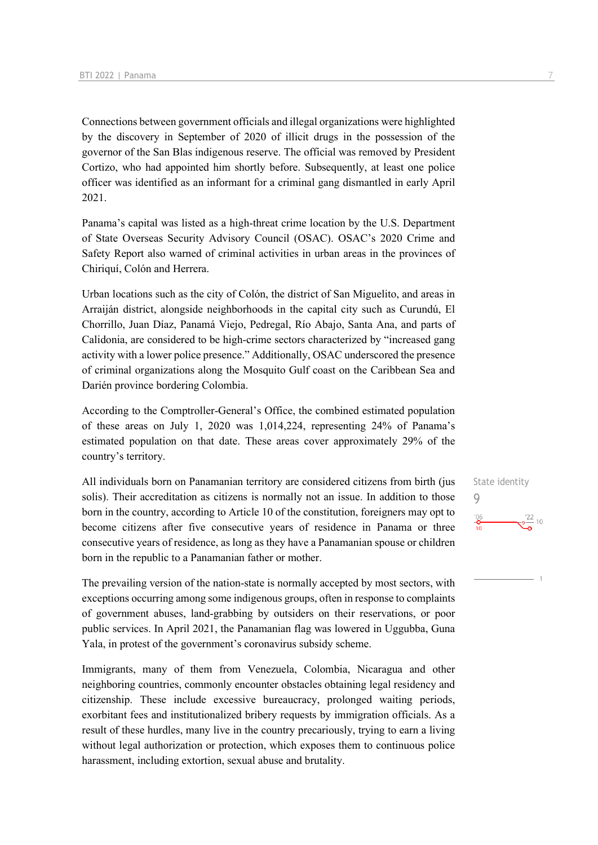Connections between government officials and illegal organizations were highlighted by the discovery in September of 2020 of illicit drugs in the possession of the governor of the San Blas indigenous reserve. The official was removed by President Cortizo, who had appointed him shortly before. Subsequently, at least one police officer was identified as an informant for a criminal gang dismantled in early April 2021.

Panama's capital was listed as a high-threat crime location by the U.S. Department of State Overseas Security Advisory Council (OSAC). OSAC's 2020 Crime and Safety Report also warned of criminal activities in urban areas in the provinces of Chiriquí, Colón and Herrera.

Urban locations such as the city of Colón, the district of San Miguelito, and areas in Arraiján district, alongside neighborhoods in the capital city such as Curundú, El Chorrillo, Juan Díaz, Panamá Viejo, Pedregal, Río Abajo, Santa Ana, and parts of Calidonia, are considered to be high-crime sectors characterized by "increased gang activity with a lower police presence." Additionally, OSAC underscored the presence of criminal organizations along the Mosquito Gulf coast on the Caribbean Sea and Darién province bordering Colombia.

According to the Comptroller-General's Office, the combined estimated population of these areas on July 1, 2020 was 1,014,224, representing 24% of Panama's estimated population on that date. These areas cover approximately 29% of the country's territory.

All individuals born on Panamanian territory are considered citizens from birth (jus solis). Their accreditation as citizens is normally not an issue. In addition to those born in the country, according to Article 10 of the constitution, foreigners may opt to become citizens after five consecutive years of residence in Panama or three consecutive years of residence, as long as they have a Panamanian spouse or children born in the republic to a Panamanian father or mother.

The prevailing version of the nation-state is normally accepted by most sectors, with exceptions occurring among some indigenous groups, often in response to complaints of government abuses, land-grabbing by outsiders on their reservations, or poor public services. In April 2021, the Panamanian flag was lowered in Uggubba, Guna Yala, in protest of the government's coronavirus subsidy scheme.

Immigrants, many of them from Venezuela, Colombia, Nicaragua and other neighboring countries, commonly encounter obstacles obtaining legal residency and citizenship. These include excessive bureaucracy, prolonged waiting periods, exorbitant fees and institutionalized bribery requests by immigration officials. As a result of these hurdles, many live in the country precariously, trying to earn a living without legal authorization or protection, which exposes them to continuous police harassment, including extortion, sexual abuse and brutality.

State identity 9 $^{106}$  $\frac{9^{22}}{2}$  10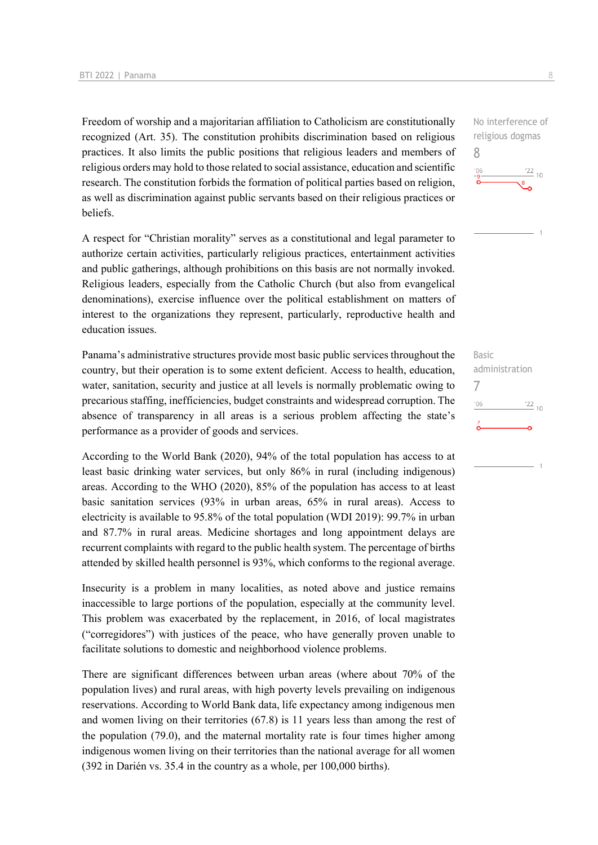Freedom of worship and a majoritarian affiliation to Catholicism are constitutionally recognized (Art. 35). The constitution prohibits discrimination based on religious practices. It also limits the public positions that religious leaders and members of religious orders may hold to those related to social assistance, education and scientific research. The constitution forbids the formation of political parties based on religion, as well as discrimination against public servants based on their religious practices or beliefs.

A respect for "Christian morality" serves as a constitutional and legal parameter to authorize certain activities, particularly religious practices, entertainment activities and public gatherings, although prohibitions on this basis are not normally invoked. Religious leaders, especially from the Catholic Church (but also from evangelical denominations), exercise influence over the political establishment on matters of interest to the organizations they represent, particularly, reproductive health and education issues.

Panama's administrative structures provide most basic public services throughout the country, but their operation is to some extent deficient. Access to health, education, water, sanitation, security and justice at all levels is normally problematic owing to precarious staffing, inefficiencies, budget constraints and widespread corruption. The absence of transparency in all areas is a serious problem affecting the state's performance as a provider of goods and services.

According to the World Bank (2020), 94% of the total population has access to at least basic drinking water services, but only 86% in rural (including indigenous) areas. According to the WHO (2020), 85% of the population has access to at least basic sanitation services (93% in urban areas, 65% in rural areas). Access to electricity is available to 95.8% of the total population (WDI 2019): 99.7% in urban and 87.7% in rural areas. Medicine shortages and long appointment delays are recurrent complaints with regard to the public health system. The percentage of births attended by skilled health personnel is 93%, which conforms to the regional average.

Insecurity is a problem in many localities, as noted above and justice remains inaccessible to large portions of the population, especially at the community level. This problem was exacerbated by the replacement, in 2016, of local magistrates ("corregidores") with justices of the peace, who have generally proven unable to facilitate solutions to domestic and neighborhood violence problems.

There are significant differences between urban areas (where about 70% of the population lives) and rural areas, with high poverty levels prevailing on indigenous reservations. According to World Bank data, life expectancy among indigenous men and women living on their territories (67.8) is 11 years less than among the rest of the population (79.0), and the maternal mortality rate is four times higher among indigenous women living on their territories than the national average for all women (392 in Darién vs. 35.4 in the country as a whole, per 100,000 births).

No interference of religious dogmas 8  $\frac{22}{10}$ 

Basic administration 7 $106$  $\frac{22}{10}$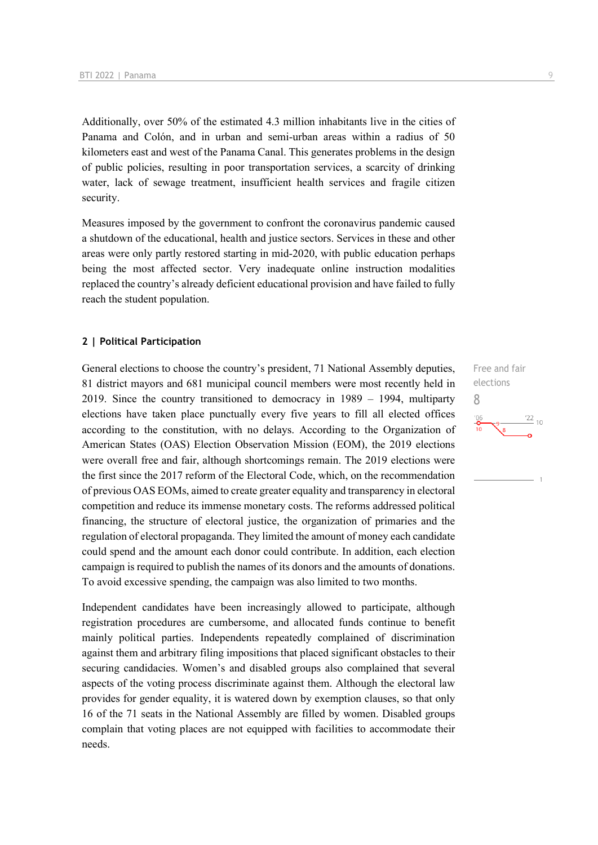Additionally, over 50% of the estimated 4.3 million inhabitants live in the cities of Panama and Colón, and in urban and semi-urban areas within a radius of 50 kilometers east and west of the Panama Canal. This generates problems in the design of public policies, resulting in poor transportation services, a scarcity of drinking water, lack of sewage treatment, insufficient health services and fragile citizen security.

Measures imposed by the government to confront the coronavirus pandemic caused a shutdown of the educational, health and justice sectors. Services in these and other areas were only partly restored starting in mid-2020, with public education perhaps being the most affected sector. Very inadequate online instruction modalities replaced the country's already deficient educational provision and have failed to fully reach the student population.

### **2 | Political Participation**

General elections to choose the country's president, 71 National Assembly deputies, 81 district mayors and 681 municipal council members were most recently held in 2019. Since the country transitioned to democracy in 1989 – 1994, multiparty elections have taken place punctually every five years to fill all elected offices according to the constitution, with no delays. According to the Organization of American States (OAS) Election Observation Mission (EOM), the 2019 elections were overall free and fair, although shortcomings remain. The 2019 elections were the first since the 2017 reform of the Electoral Code, which, on the recommendation of previous OAS EOMs, aimed to create greater equality and transparency in electoral competition and reduce its immense monetary costs. The reforms addressed political financing, the structure of electoral justice, the organization of primaries and the regulation of electoral propaganda. They limited the amount of money each candidate could spend and the amount each donor could contribute. In addition, each election campaign is required to publish the names of its donors and the amounts of donations. To avoid excessive spending, the campaign was also limited to two months.

Independent candidates have been increasingly allowed to participate, although registration procedures are cumbersome, and allocated funds continue to benefit mainly political parties. Independents repeatedly complained of discrimination against them and arbitrary filing impositions that placed significant obstacles to their securing candidacies. Women's and disabled groups also complained that several aspects of the voting process discriminate against them. Although the electoral law provides for gender equality, it is watered down by exemption clauses, so that only 16 of the 71 seats in the National Assembly are filled by women. Disabled groups complain that voting places are not equipped with facilities to accommodate their needs.

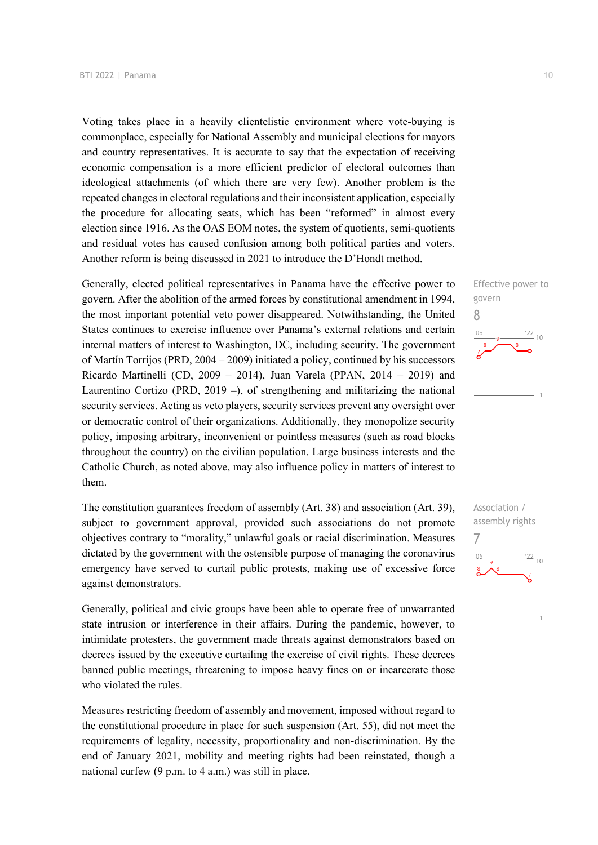Voting takes place in a heavily clientelistic environment where vote-buying is commonplace, especially for National Assembly and municipal elections for mayors and country representatives. It is accurate to say that the expectation of receiving economic compensation is a more efficient predictor of electoral outcomes than ideological attachments (of which there are very few). Another problem is the repeated changes in electoral regulations and their inconsistent application, especially the procedure for allocating seats, which has been "reformed" in almost every election since 1916. As the OAS EOM notes, the system of quotients, semi-quotients and residual votes has caused confusion among both political parties and voters. Another reform is being discussed in 2021 to introduce the D'Hondt method.

Generally, elected political representatives in Panama have the effective power to govern. After the abolition of the armed forces by constitutional amendment in 1994, the most important potential veto power disappeared. Notwithstanding, the United States continues to exercise influence over Panama's external relations and certain internal matters of interest to Washington, DC, including security. The government of Martín Torrijos (PRD, 2004 – 2009) initiated a policy, continued by his successors Ricardo Martinelli (CD, 2009 – 2014), Juan Varela (PPAN, 2014 – 2019) and Laurentino Cortizo (PRD, 2019 –), of strengthening and militarizing the national security services. Acting as veto players, security services prevent any oversight over or democratic control of their organizations. Additionally, they monopolize security policy, imposing arbitrary, inconvenient or pointless measures (such as road blocks throughout the country) on the civilian population. Large business interests and the Catholic Church, as noted above, may also influence policy in matters of interest to them.

The constitution guarantees freedom of assembly (Art. 38) and association (Art. 39), subject to government approval, provided such associations do not promote objectives contrary to "morality," unlawful goals or racial discrimination. Measures dictated by the government with the ostensible purpose of managing the coronavirus emergency have served to curtail public protests, making use of excessive force against demonstrators.

Generally, political and civic groups have been able to operate free of unwarranted state intrusion or interference in their affairs. During the pandemic, however, to intimidate protesters, the government made threats against demonstrators based on decrees issued by the executive curtailing the exercise of civil rights. These decrees banned public meetings, threatening to impose heavy fines on or incarcerate those who violated the rules.

Measures restricting freedom of assembly and movement, imposed without regard to the constitutional procedure in place for such suspension (Art. 55), did not meet the requirements of legality, necessity, proportionality and non-discrimination. By the end of January 2021, mobility and meeting rights had been reinstated, though a national curfew (9 p.m. to 4 a.m.) was still in place.

Effective power to

 $\frac{22}{10}$ 

 $\frac{22}{10}$ 

govern 8

Association / assembly rights

7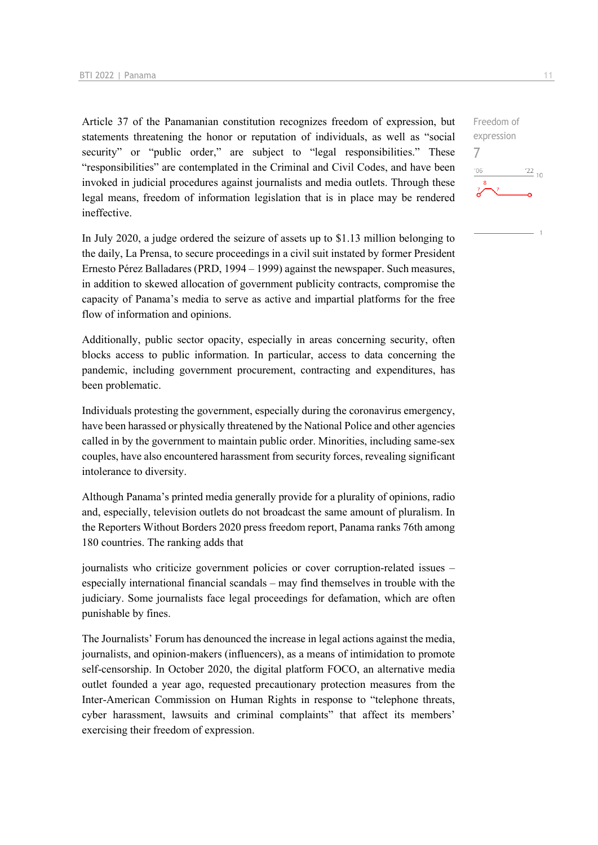Article 37 of the Panamanian constitution recognizes freedom of expression, but statements threatening the honor or reputation of individuals, as well as "social security" or "public order," are subject to "legal responsibilities." These "responsibilities" are contemplated in the Criminal and Civil Codes, and have been invoked in judicial procedures against journalists and media outlets. Through these legal means, freedom of information legislation that is in place may be rendered ineffective.

In July 2020, a judge ordered the seizure of assets up to \$1.13 million belonging to the daily, La Prensa, to secure proceedings in a civil suit instated by former President Ernesto Pérez Balladares (PRD, 1994 – 1999) against the newspaper. Such measures, in addition to skewed allocation of government publicity contracts, compromise the capacity of Panama's media to serve as active and impartial platforms for the free flow of information and opinions.

Additionally, public sector opacity, especially in areas concerning security, often blocks access to public information. In particular, access to data concerning the pandemic, including government procurement, contracting and expenditures, has been problematic.

Individuals protesting the government, especially during the coronavirus emergency, have been harassed or physically threatened by the National Police and other agencies called in by the government to maintain public order. Minorities, including same-sex couples, have also encountered harassment from security forces, revealing significant intolerance to diversity.

Although Panama's printed media generally provide for a plurality of opinions, radio and, especially, television outlets do not broadcast the same amount of pluralism. In the Reporters Without Borders 2020 press freedom report, Panama ranks 76th among 180 countries. The ranking adds that

journalists who criticize government policies or cover corruption-related issues – especially international financial scandals – may find themselves in trouble with the judiciary. Some journalists face legal proceedings for defamation, which are often punishable by fines.

The Journalists' Forum has denounced the increase in legal actions against the media, journalists, and opinion-makers (influencers), as a means of intimidation to promote self-censorship. In October 2020, the digital platform FOCO, an alternative media outlet founded a year ago, requested precautionary protection measures from the Inter-American Commission on Human Rights in response to "telephone threats, cyber harassment, lawsuits and criminal complaints" that affect its members' exercising their freedom of expression.

7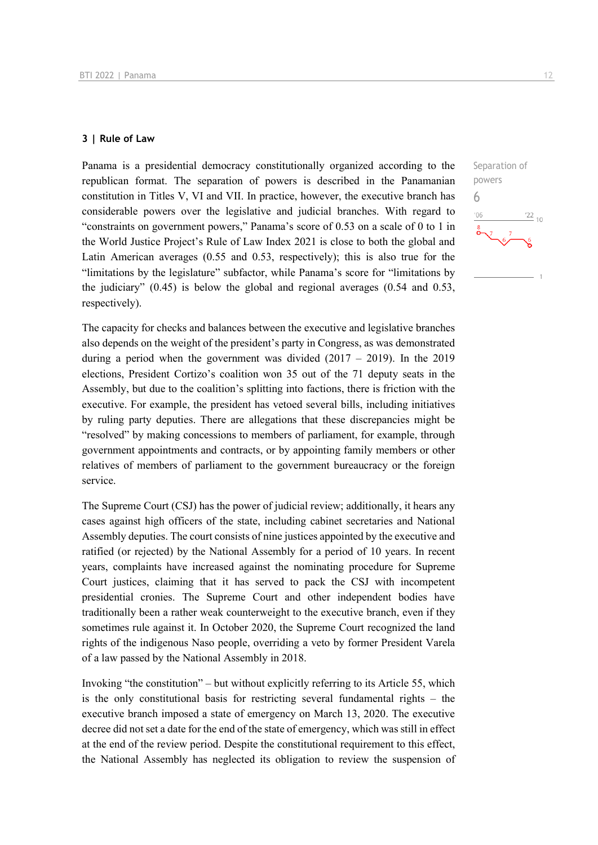### **3 | Rule of Law**

Panama is a presidential democracy constitutionally organized according to the republican format. The separation of powers is described in the Panamanian constitution in Titles V, VI and VII. In practice, however, the executive branch has considerable powers over the legislative and judicial branches. With regard to "constraints on government powers," Panama's score of 0.53 on a scale of 0 to 1 in the World Justice Project's Rule of Law Index 2021 is close to both the global and Latin American averages (0.55 and 0.53, respectively); this is also true for the "limitations by the legislature" subfactor, while Panama's score for "limitations by the judiciary" (0.45) is below the global and regional averages (0.54 and 0.53, respectively).

The capacity for checks and balances between the executive and legislative branches also depends on the weight of the president's party in Congress, as was demonstrated during a period when the government was divided  $(2017 - 2019)$ . In the 2019 elections, President Cortizo's coalition won 35 out of the 71 deputy seats in the Assembly, but due to the coalition's splitting into factions, there is friction with the executive. For example, the president has vetoed several bills, including initiatives by ruling party deputies. There are allegations that these discrepancies might be "resolved" by making concessions to members of parliament, for example, through government appointments and contracts, or by appointing family members or other relatives of members of parliament to the government bureaucracy or the foreign service.

The Supreme Court (CSJ) has the power of judicial review; additionally, it hears any cases against high officers of the state, including cabinet secretaries and National Assembly deputies. The court consists of nine justices appointed by the executive and ratified (or rejected) by the National Assembly for a period of 10 years. In recent years, complaints have increased against the nominating procedure for Supreme Court justices, claiming that it has served to pack the CSJ with incompetent presidential cronies. The Supreme Court and other independent bodies have traditionally been a rather weak counterweight to the executive branch, even if they sometimes rule against it. In October 2020, the Supreme Court recognized the land rights of the indigenous Naso people, overriding a veto by former President Varela of a law passed by the National Assembly in 2018.

Invoking "the constitution" – but without explicitly referring to its Article 55, which is the only constitutional basis for restricting several fundamental rights – the executive branch imposed a state of emergency on March 13, 2020. The executive decree did not set a date for the end of the state of emergency, which was still in effect at the end of the review period. Despite the constitutional requirement to this effect, the National Assembly has neglected its obligation to review the suspension of

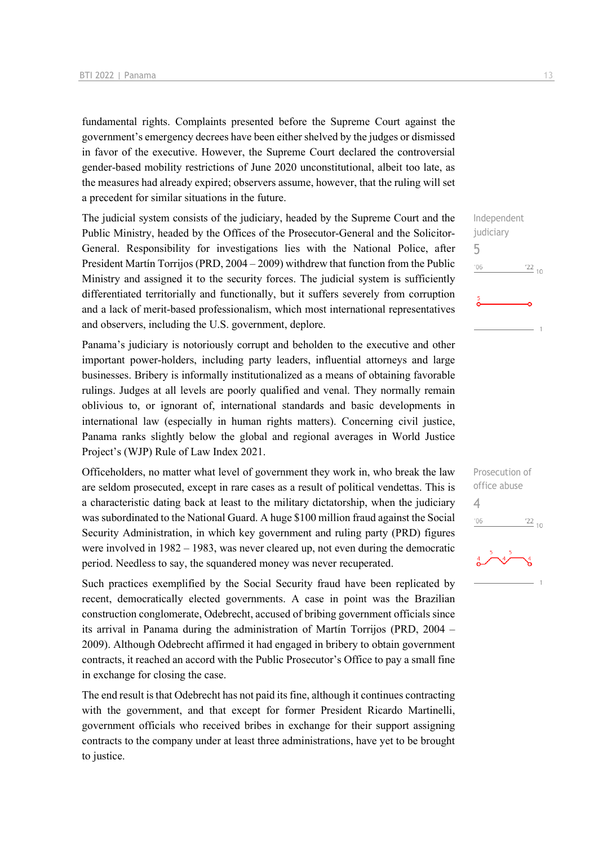fundamental rights. Complaints presented before the Supreme Court against the government's emergency decrees have been either shelved by the judges or dismissed in favor of the executive. However, the Supreme Court declared the controversial gender-based mobility restrictions of June 2020 unconstitutional, albeit too late, as the measures had already expired; observers assume, however, that the ruling will set a precedent for similar situations in the future.

The judicial system consists of the judiciary, headed by the Supreme Court and the Public Ministry, headed by the Offices of the Prosecutor-General and the Solicitor-General. Responsibility for investigations lies with the National Police, after President Martín Torrijos (PRD, 2004 – 2009) withdrew that function from the Public Ministry and assigned it to the security forces. The judicial system is sufficiently differentiated territorially and functionally, but it suffers severely from corruption and a lack of merit-based professionalism, which most international representatives and observers, including the U.S. government, deplore.

Panama's judiciary is notoriously corrupt and beholden to the executive and other important power-holders, including party leaders, influential attorneys and large businesses. Bribery is informally institutionalized as a means of obtaining favorable rulings. Judges at all levels are poorly qualified and venal. They normally remain oblivious to, or ignorant of, international standards and basic developments in international law (especially in human rights matters). Concerning civil justice, Panama ranks slightly below the global and regional averages in World Justice Project's (WJP) Rule of Law Index 2021.

Officeholders, no matter what level of government they work in, who break the law are seldom prosecuted, except in rare cases as a result of political vendettas. This is a characteristic dating back at least to the military dictatorship, when the judiciary was subordinated to the National Guard. A huge \$100 million fraud against the Social Security Administration, in which key government and ruling party (PRD) figures were involved in 1982 – 1983, was never cleared up, not even during the democratic period. Needless to say, the squandered money was never recuperated.

Such practices exemplified by the Social Security fraud have been replicated by recent, democratically elected governments. A case in point was the Brazilian construction conglomerate, Odebrecht, accused of bribing government officials since its arrival in Panama during the administration of Martín Torrijos (PRD, 2004 – 2009). Although Odebrecht affirmed it had engaged in bribery to obtain government contracts, it reached an accord with the Public Prosecutor's Office to pay a small fine in exchange for closing the case.

The end result is that Odebrecht has not paid its fine, although it continues contracting with the government, and that except for former President Ricardo Martinelli, government officials who received bribes in exchange for their support assigning contracts to the company under at least three administrations, have yet to be brought to justice.

 $\frac{22}{10}$ 

5

 $^{\prime}06$ 

Prosecution of office abuse

 $\frac{22}{10}$ 

4

 $-06$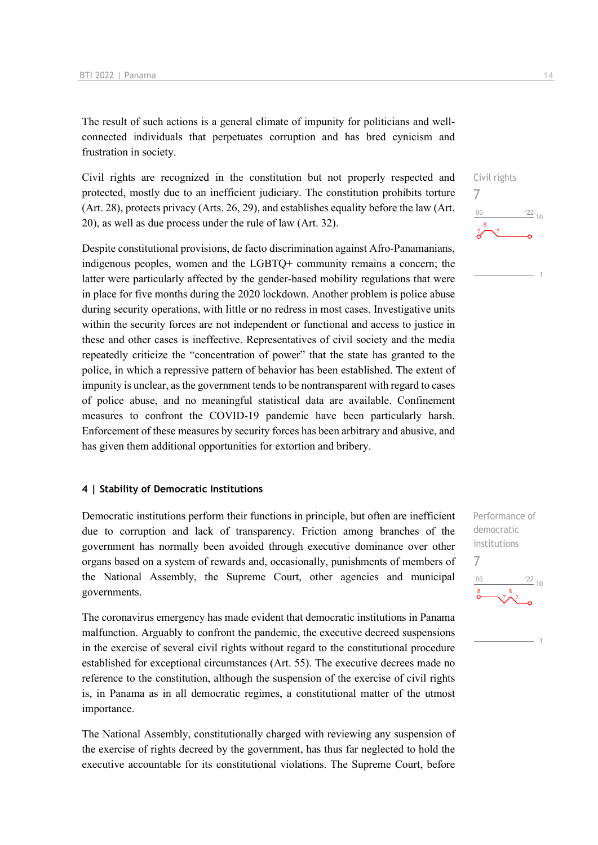The result of such actions is a general climate of impunity for politicians and wellconnected individuals that perpetuates corruption and has bred cynicism and frustration in society.

Civil rights are recognized in the constitution but not properly respected and protected, mostly due to an inefficient judiciary. The constitution prohibits torture (Art. 28), protects privacy (Arts. 26, 29), and establishes equality before the law (Art. 20), as well as due process under the rule of law (Art. 32).

Despite constitutional provisions, de facto discrimination against Afro-Panamanians, indigenous peoples, women and the LGBTQ+ community remains a concern; the latter were particularly affected by the gender-based mobility regulations that were in place for five months during the 2020 lockdown. Another problem is police abuse during security operations, with little or no redress in most cases. Investigative units within the security forces are not independent or functional and access to justice in these and other cases is ineffective. Representatives of civil society and the media repeatedly criticize the "concentration of power" that the state has granted to the police, in which a repressive pattern of behavior has been established. The extent of impunity is unclear, as the government tends to be nontransparent with regard to cases of police abuse, and no meaningful statistical data are available. Confinement measures to confront the COVID-19 pandemic have been particularly harsh. Enforcement of these measures by security forces has been arbitrary and abusive, and has given them additional opportunities for extortion and bribery.

### **4 | Stability of Democratic Institutions**

Democratic institutions perform their functions in principle, but often are inefficient due to corruption and lack of transparency. Friction among branches of the government has normally been avoided through executive dominance over other organs based on a system of rewards and, occasionally, punishments of members of the National Assembly, the Supreme Court, other agencies and municipal governments.

The coronavirus emergency has made evident that democratic institutions in Panama malfunction. Arguably to confront the pandemic, the executive decreed suspensions in the exercise of several civil rights without regard to the constitutional procedure established for exceptional circumstances (Art. 55). The executive decrees made no reference to the constitution, although the suspension of the exercise of civil rights is, in Panama as in all democratic regimes, a constitutional matter of the utmost importance.

The National Assembly, constitutionally charged with reviewing any suspension of the exercise of rights decreed by the government, has thus far neglected to hold the executive accountable for its constitutional violations. The Supreme Court, before





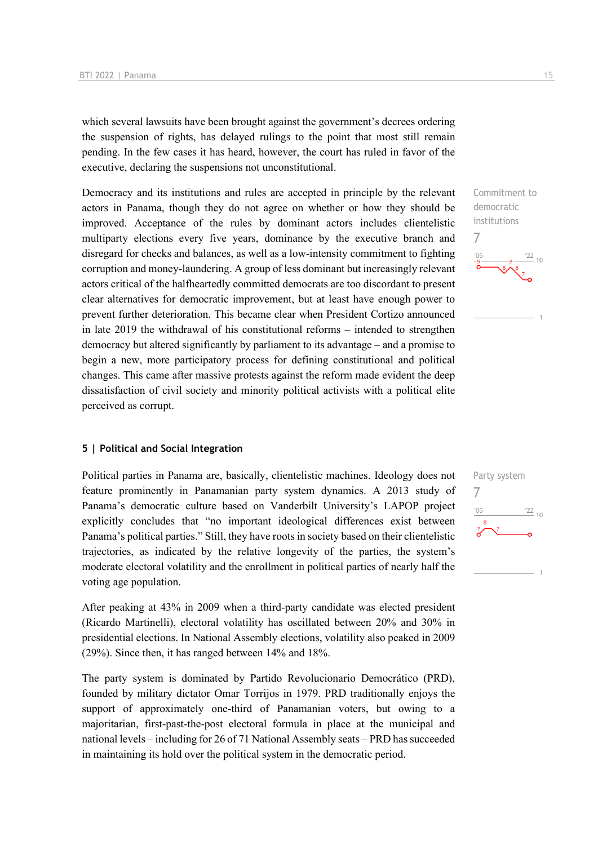which several lawsuits have been brought against the government's decrees ordering the suspension of rights, has delayed rulings to the point that most still remain pending. In the few cases it has heard, however, the court has ruled in favor of the executive, declaring the suspensions not unconstitutional.

Democracy and its institutions and rules are accepted in principle by the relevant actors in Panama, though they do not agree on whether or how they should be improved. Acceptance of the rules by dominant actors includes clientelistic multiparty elections every five years, dominance by the executive branch and disregard for checks and balances, as well as a low-intensity commitment to fighting corruption and money-laundering. A group of less dominant but increasingly relevant actors critical of the halfheartedly committed democrats are too discordant to present clear alternatives for democratic improvement, but at least have enough power to prevent further deterioration. This became clear when President Cortizo announced in late 2019 the withdrawal of his constitutional reforms – intended to strengthen democracy but altered significantly by parliament to its advantage – and a promise to begin a new, more participatory process for defining constitutional and political changes. This came after massive protests against the reform made evident the deep dissatisfaction of civil society and minority political activists with a political elite perceived as corrupt.

### **5 | Political and Social Integration**

Political parties in Panama are, basically, clientelistic machines. Ideology does not feature prominently in Panamanian party system dynamics. A 2013 study of Panama's democratic culture based on Vanderbilt University's LAPOP project explicitly concludes that "no important ideological differences exist between Panama's political parties." Still, they have roots in society based on their clientelistic trajectories, as indicated by the relative longevity of the parties, the system's moderate electoral volatility and the enrollment in political parties of nearly half the voting age population.

After peaking at 43% in 2009 when a third-party candidate was elected president (Ricardo Martinelli), electoral volatility has oscillated between 20% and 30% in presidential elections. In National Assembly elections, volatility also peaked in 2009 (29%). Since then, it has ranged between 14% and 18%.

The party system is dominated by Partido Revolucionario Democrático (PRD), founded by military dictator Omar Torrijos in 1979. PRD traditionally enjoys the support of approximately one-third of Panamanian voters, but owing to a majoritarian, first-past-the-post electoral formula in place at the municipal and national levels – including for 26 of 71 National Assembly seats – PRD has succeeded in maintaining its hold over the political system in the democratic period.



institutions

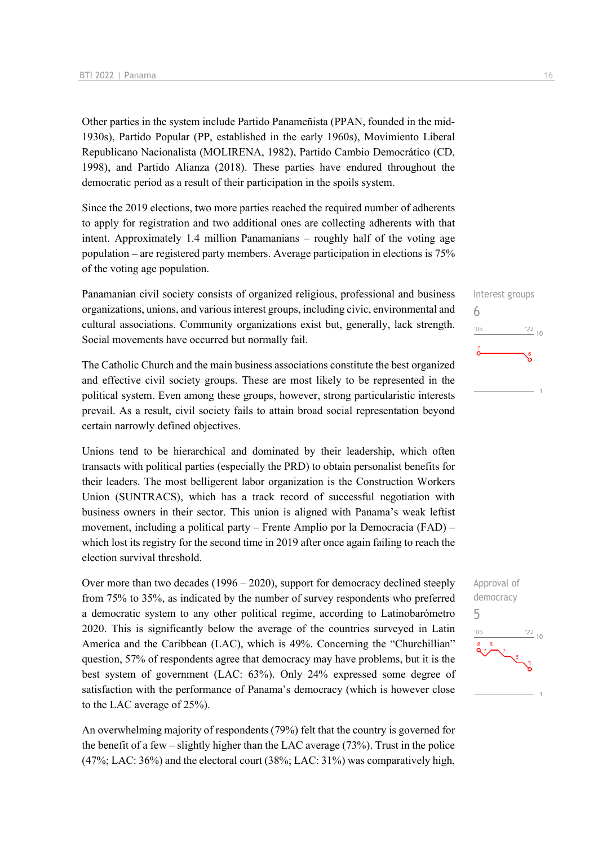Other parties in the system include Partido Panameñista (PPAN, founded in the mid-1930s), Partido Popular (PP, established in the early 1960s), Movimiento Liberal Republicano Nacionalista (MOLIRENA, 1982), Partido Cambio Democrático (CD, 1998), and Partido Alianza (2018). These parties have endured throughout the democratic period as a result of their participation in the spoils system.

Since the 2019 elections, two more parties reached the required number of adherents to apply for registration and two additional ones are collecting adherents with that intent. Approximately 1.4 million Panamanians – roughly half of the voting age population – are registered party members. Average participation in elections is 75% of the voting age population.

Panamanian civil society consists of organized religious, professional and business organizations, unions, and various interest groups, including civic, environmental and cultural associations. Community organizations exist but, generally, lack strength. Social movements have occurred but normally fail.

The Catholic Church and the main business associations constitute the best organized and effective civil society groups. These are most likely to be represented in the political system. Even among these groups, however, strong particularistic interests prevail. As a result, civil society fails to attain broad social representation beyond certain narrowly defined objectives.

Unions tend to be hierarchical and dominated by their leadership, which often transacts with political parties (especially the PRD) to obtain personalist benefits for their leaders. The most belligerent labor organization is the Construction Workers Union (SUNTRACS), which has a track record of successful negotiation with business owners in their sector. This union is aligned with Panama's weak leftist movement, including a political party – Frente Amplio por la Democracia (FAD) – which lost its registry for the second time in 2019 after once again failing to reach the election survival threshold.

Over more than two decades (1996 – 2020), support for democracy declined steeply from 75% to 35%, as indicated by the number of survey respondents who preferred a democratic system to any other political regime, according to Latinobarómetro 2020. This is significantly below the average of the countries surveyed in Latin America and the Caribbean (LAC), which is 49%. Concerning the "Churchillian" question, 57% of respondents agree that democracy may have problems, but it is the best system of government (LAC: 63%). Only 24% expressed some degree of satisfaction with the performance of Panama's democracy (which is however close to the LAC average of 25%).

An overwhelming majority of respondents (79%) felt that the country is governed for the benefit of a few – slightly higher than the LAC average (73%). Trust in the police (47%; LAC: 36%) and the electoral court (38%; LAC: 31%) was comparatively high,



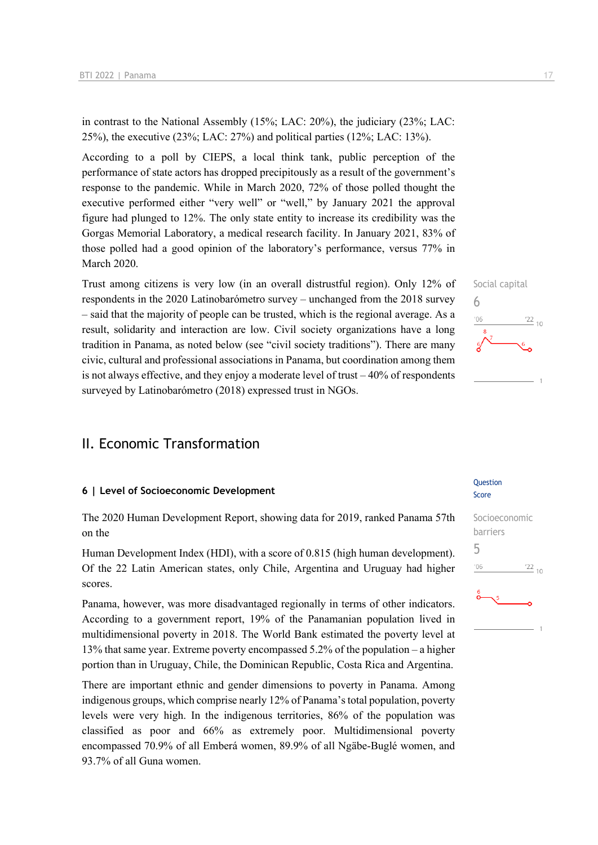in contrast to the National Assembly (15%; LAC: 20%), the judiciary (23%; LAC: 25%), the executive (23%; LAC: 27%) and political parties (12%; LAC: 13%).

According to a poll by CIEPS, a local think tank, public perception of the performance of state actors has dropped precipitously as a result of the government's response to the pandemic. While in March 2020, 72% of those polled thought the executive performed either "very well" or "well," by January 2021 the approval figure had plunged to 12%. The only state entity to increase its credibility was the Gorgas Memorial Laboratory, a medical research facility. In January 2021, 83% of those polled had a good opinion of the laboratory's performance, versus 77% in March 2020.

Trust among citizens is very low (in an overall distrustful region). Only 12% of respondents in the 2020 Latinobarómetro survey – unchanged from the 2018 survey – said that the majority of people can be trusted, which is the regional average. As a result, solidarity and interaction are low. Civil society organizations have a long tradition in Panama, as noted below (see "civil society traditions"). There are many civic, cultural and professional associations in Panama, but coordination among them is not always effective, and they enjoy a moderate level of trust – 40% of respondents surveyed by Latinobarómetro (2018) expressed trust in NGOs.

### II. Economic Transformation

### **6 | Level of Socioeconomic Development**

The 2020 Human Development Report, showing data for 2019, ranked Panama 57th on the

Human Development Index (HDI), with a score of 0.815 (high human development). Of the 22 Latin American states, only Chile, Argentina and Uruguay had higher scores.

Panama, however, was more disadvantaged regionally in terms of other indicators. According to a government report, 19% of the Panamanian population lived in multidimensional poverty in 2018. The World Bank estimated the poverty level at 13% that same year. Extreme poverty encompassed 5.2% of the population – a higher portion than in Uruguay, Chile, the Dominican Republic, Costa Rica and Argentina.

There are important ethnic and gender dimensions to poverty in Panama. Among indigenous groups, which comprise nearly 12% of Panama's total population, poverty levels were very high. In the indigenous territories, 86% of the population was classified as poor and 66% as extremely poor. Multidimensional poverty encompassed 70.9% of all Emberá women, 89.9% of all Ngäbe-Buglé women, and 93.7% of all Guna women.

## Social capital 6  $\frac{22}{10}$  $106$

#### **Ouestion** Score

## Socioeconomic barriers 5 $\frac{22}{10}$  $-06$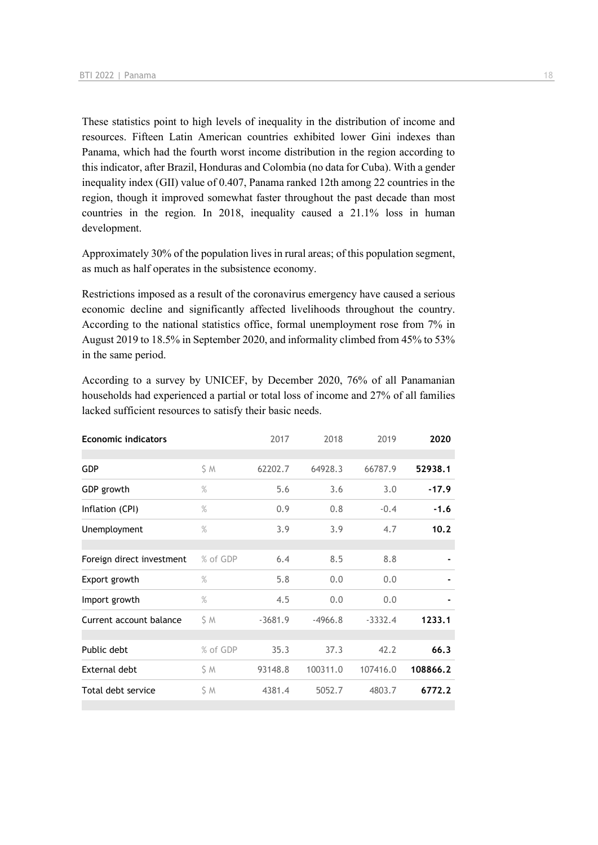These statistics point to high levels of inequality in the distribution of income and resources. Fifteen Latin American countries exhibited lower Gini indexes than Panama, which had the fourth worst income distribution in the region according to this indicator, after Brazil, Honduras and Colombia (no data for Cuba). With a gender inequality index (GII) value of 0.407, Panama ranked 12th among 22 countries in the region, though it improved somewhat faster throughout the past decade than most countries in the region. In 2018, inequality caused a 21.1% loss in human development.

Approximately 30% of the population lives in rural areas; of this population segment, as much as half operates in the subsistence economy.

Restrictions imposed as a result of the coronavirus emergency have caused a serious economic decline and significantly affected livelihoods throughout the country. According to the national statistics office, formal unemployment rose from 7% in August 2019 to 18.5% in September 2020, and informality climbed from 45% to 53% in the same period.

According to a survey by UNICEF, by December 2020, 76% of all Panamanian households had experienced a partial or total loss of income and 27% of all families lacked sufficient resources to satisfy their basic needs.

| <b>Economic indicators</b> |          | 2017      | 2018      | 2019      | 2020     |
|----------------------------|----------|-----------|-----------|-----------|----------|
|                            |          |           |           |           |          |
| <b>GDP</b>                 | S M      | 62202.7   | 64928.3   | 66787.9   | 52938.1  |
| GDP growth                 | $\%$     | 5.6       | 3.6       | 3.0       | $-17.9$  |
| Inflation (CPI)            | $\%$     | 0.9       | 0.8       | $-0.4$    | $-1.6$   |
| Unemployment               | $\%$     | 3.9       | 3.9       | 4.7       | 10.2     |
|                            |          |           |           |           |          |
| Foreign direct investment  | % of GDP | 6.4       | 8.5       | 8.8       |          |
| Export growth              | $\%$     | 5.8       | 0.0       | 0.0       |          |
| Import growth              | $\%$     | 4.5       | 0.0       | 0.0       |          |
| Current account balance    | S M      | $-3681.9$ | $-4966.8$ | $-3332.4$ | 1233.1   |
|                            |          |           |           |           |          |
| Public debt                | % of GDP | 35.3      | 37.3      | 42.2      | 66.3     |
| External debt              | \$ M     | 93148.8   | 100311.0  | 107416.0  | 108866.2 |
| Total debt service         | \$M      | 4381.4    | 5052.7    | 4803.7    | 6772.2   |
|                            |          |           |           |           |          |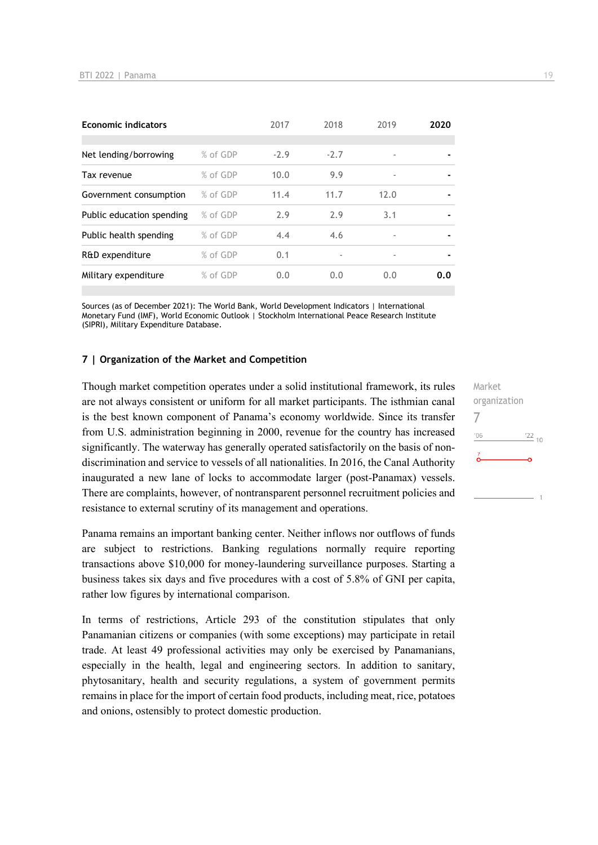| <b>Economic indicators</b> |          | 2017   | 2018   | 2019                     | 2020           |
|----------------------------|----------|--------|--------|--------------------------|----------------|
|                            |          |        |        |                          |                |
| Net lending/borrowing      | % of GDP | $-2.9$ | $-2.7$ | $\overline{\phantom{a}}$ |                |
| Tax revenue                | % of GDP | 10.0   | 9.9    | $\overline{\phantom{a}}$ | $\blacksquare$ |
| Government consumption     | % of GDP | 11.4   | 11.7   | 12.0                     |                |
| Public education spending  | % of GDP | 2.9    | 2.9    | 3.1                      |                |
| Public health spending     | % of GDP | 4.4    | 4.6    | $\overline{\phantom{a}}$ |                |
| R&D expenditure            | % of GDP | 0.1    |        |                          |                |
| Military expenditure       | % of GDP | 0.0    | 0.0    | 0.0                      | 0.0            |

Sources (as of December 2021): The World Bank, World Development Indicators | International Monetary Fund (IMF), World Economic Outlook | Stockholm International Peace Research Institute (SIPRI), Military Expenditure Database.

### **7 | Organization of the Market and Competition**

Though market competition operates under a solid institutional framework, its rules are not always consistent or uniform for all market participants. The isthmian canal is the best known component of Panama's economy worldwide. Since its transfer from U.S. administration beginning in 2000, revenue for the country has increased significantly. The waterway has generally operated satisfactorily on the basis of nondiscrimination and service to vessels of all nationalities. In 2016, the Canal Authority inaugurated a new lane of locks to accommodate larger (post-Panamax) vessels. There are complaints, however, of nontransparent personnel recruitment policies and resistance to external scrutiny of its management and operations.

Panama remains an important banking center. Neither inflows nor outflows of funds are subject to restrictions. Banking regulations normally require reporting transactions above \$10,000 for money-laundering surveillance purposes. Starting a business takes six days and five procedures with a cost of 5.8% of GNI per capita, rather low figures by international comparison.

In terms of restrictions, Article 293 of the constitution stipulates that only Panamanian citizens or companies (with some exceptions) may participate in retail trade. At least 49 professional activities may only be exercised by Panamanians, especially in the health, legal and engineering sectors. In addition to sanitary, phytosanitary, health and security regulations, a system of government permits remains in place for the import of certain food products, including meat, rice, potatoes and onions, ostensibly to protect domestic production.

Market organization 7 $106$  $\frac{22}{10}$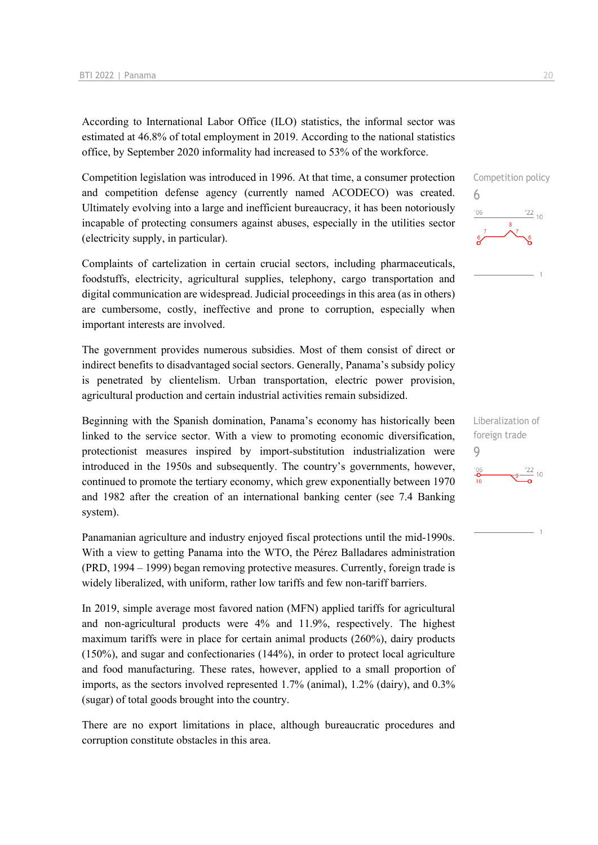According to International Labor Office (ILO) statistics, the informal sector was estimated at 46.8% of total employment in 2019. According to the national statistics office, by September 2020 informality had increased to 53% of the workforce.

Competition legislation was introduced in 1996. At that time, a consumer protection and competition defense agency (currently named ACODECO) was created. Ultimately evolving into a large and inefficient bureaucracy, it has been notoriously incapable of protecting consumers against abuses, especially in the utilities sector (electricity supply, in particular).

Complaints of cartelization in certain crucial sectors, including pharmaceuticals, foodstuffs, electricity, agricultural supplies, telephony, cargo transportation and digital communication are widespread. Judicial proceedings in this area (as in others) are cumbersome, costly, ineffective and prone to corruption, especially when important interests are involved.

The government provides numerous subsidies. Most of them consist of direct or indirect benefits to disadvantaged social sectors. Generally, Panama's subsidy policy is penetrated by clientelism. Urban transportation, electric power provision, agricultural production and certain industrial activities remain subsidized.

Beginning with the Spanish domination, Panama's economy has historically been linked to the service sector. With a view to promoting economic diversification, protectionist measures inspired by import-substitution industrialization were introduced in the 1950s and subsequently. The country's governments, however, continued to promote the tertiary economy, which grew exponentially between 1970 and 1982 after the creation of an international banking center (see 7.4 Banking system).

Panamanian agriculture and industry enjoyed fiscal protections until the mid-1990s. With a view to getting Panama into the WTO, the Pérez Balladares administration (PRD, 1994 – 1999) began removing protective measures. Currently, foreign trade is widely liberalized, with uniform, rather low tariffs and few non-tariff barriers.

In 2019, simple average most favored nation (MFN) applied tariffs for agricultural and non-agricultural products were 4% and 11.9%, respectively. The highest maximum tariffs were in place for certain animal products (260%), dairy products (150%), and sugar and confectionaries (144%), in order to protect local agriculture and food manufacturing. These rates, however, applied to a small proportion of imports, as the sectors involved represented 1.7% (animal), 1.2% (dairy), and 0.3% (sugar) of total goods brought into the country.

There are no export limitations in place, although bureaucratic procedures and corruption constitute obstacles in this area.



Liberalization of foreign trade 9 $\frac{106}{10}$  $\frac{22}{9}$  10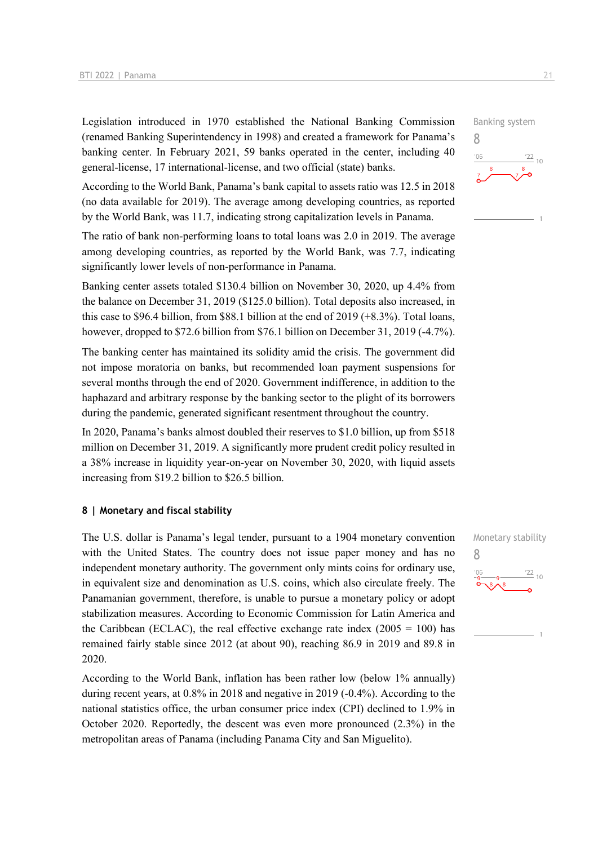Legislation introduced in 1970 established the National Banking Commission (renamed Banking Superintendency in 1998) and created a framework for Panama's banking center. In February 2021, 59 banks operated in the center, including 40 general-license, 17 international-license, and two official (state) banks.

According to the World Bank, Panama's bank capital to assets ratio was 12.5 in 2018 (no data available for 2019). The average among developing countries, as reported by the World Bank, was 11.7, indicating strong capitalization levels in Panama.

The ratio of bank non-performing loans to total loans was 2.0 in 2019. The average among developing countries, as reported by the World Bank, was 7.7, indicating significantly lower levels of non-performance in Panama.

Banking center assets totaled \$130.4 billion on November 30, 2020, up 4.4% from the balance on December 31, 2019 (\$125.0 billion). Total deposits also increased, in this case to \$96.4 billion, from \$88.1 billion at the end of 2019 (+8.3%). Total loans, however, dropped to \$72.6 billion from \$76.1 billion on December 31, 2019 (-4.7%).

The banking center has maintained its solidity amid the crisis. The government did not impose moratoria on banks, but recommended loan payment suspensions for several months through the end of 2020. Government indifference, in addition to the haphazard and arbitrary response by the banking sector to the plight of its borrowers during the pandemic, generated significant resentment throughout the country.

In 2020, Panama's banks almost doubled their reserves to \$1.0 billion, up from \$518 million on December 31, 2019. A significantly more prudent credit policy resulted in a 38% increase in liquidity year-on-year on November 30, 2020, with liquid assets increasing from \$19.2 billion to \$26.5 billion.

### **8 | Monetary and fiscal stability**

The U.S. dollar is Panama's legal tender, pursuant to a 1904 monetary convention with the United States. The country does not issue paper money and has no independent monetary authority. The government only mints coins for ordinary use, in equivalent size and denomination as U.S. coins, which also circulate freely. The Panamanian government, therefore, is unable to pursue a monetary policy or adopt stabilization measures. According to Economic Commission for Latin America and the Caribbean (ECLAC), the real effective exchange rate index  $(2005 = 100)$  has remained fairly stable since 2012 (at about 90), reaching 86.9 in 2019 and 89.8 in 2020.

According to the World Bank, inflation has been rather low (below 1% annually) during recent years, at 0.8% in 2018 and negative in 2019 (-0.4%). According to the national statistics office, the urban consumer price index (CPI) declined to 1.9% in October 2020. Reportedly, the descent was even more pronounced (2.3%) in the metropolitan areas of Panama (including Panama City and San Miguelito).



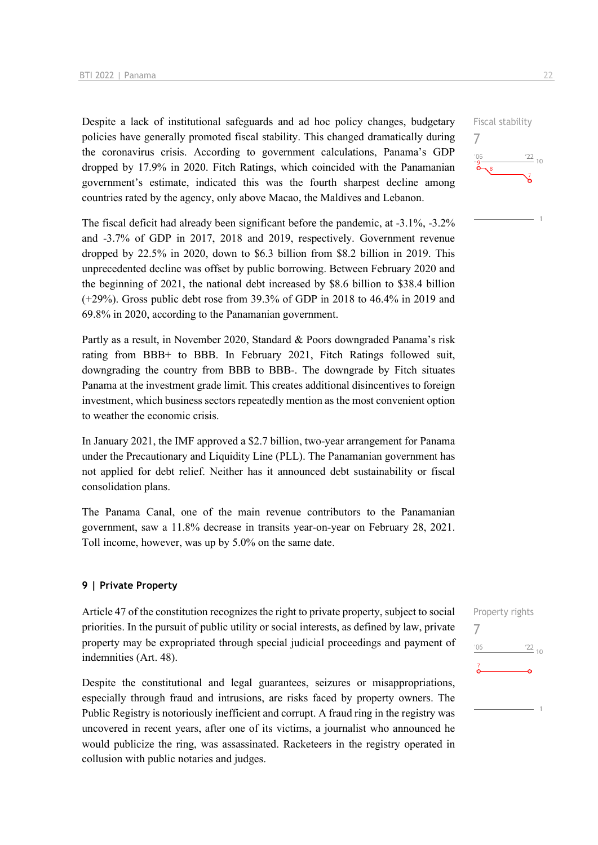Despite a lack of institutional safeguards and ad hoc policy changes, budgetary policies have generally promoted fiscal stability. This changed dramatically during the coronavirus crisis. According to government calculations, Panama's GDP dropped by 17.9% in 2020. Fitch Ratings, which coincided with the Panamanian government's estimate, indicated this was the fourth sharpest decline among countries rated by the agency, only above Macao, the Maldives and Lebanon.

The fiscal deficit had already been significant before the pandemic, at -3.1%, -3.2% and -3.7% of GDP in 2017, 2018 and 2019, respectively. Government revenue dropped by 22.5% in 2020, down to \$6.3 billion from \$8.2 billion in 2019. This unprecedented decline was offset by public borrowing. Between February 2020 and the beginning of 2021, the national debt increased by \$8.6 billion to \$38.4 billion (+29%). Gross public debt rose from 39.3% of GDP in 2018 to 46.4% in 2019 and 69.8% in 2020, according to the Panamanian government.

Partly as a result, in November 2020, Standard & Poors downgraded Panama's risk rating from BBB+ to BBB. In February 2021, Fitch Ratings followed suit, downgrading the country from BBB to BBB-. The downgrade by Fitch situates Panama at the investment grade limit. This creates additional disincentives to foreign investment, which business sectors repeatedly mention as the most convenient option to weather the economic crisis.

In January 2021, the IMF approved a \$2.7 billion, two-year arrangement for Panama under the Precautionary and Liquidity Line (PLL). The Panamanian government has not applied for debt relief. Neither has it announced debt sustainability or fiscal consolidation plans.

The Panama Canal, one of the main revenue contributors to the Panamanian government, saw a 11.8% decrease in transits year-on-year on February 28, 2021. Toll income, however, was up by 5.0% on the same date.

#### **9 | Private Property**

Article 47 of the constitution recognizes the right to private property, subject to social priorities. In the pursuit of public utility or social interests, as defined by law, private property may be expropriated through special judicial proceedings and payment of indemnities (Art. 48).

Despite the constitutional and legal guarantees, seizures or misappropriations, especially through fraud and intrusions, are risks faced by property owners. The Public Registry is notoriously inefficient and corrupt. A fraud ring in the registry was uncovered in recent years, after one of its victims, a journalist who announced he would publicize the ring, was assassinated. Racketeers in the registry operated in collusion with public notaries and judges.

| Property rights |                 |
|-----------------|-----------------|
| 106             | $\frac{22}{10}$ |
|                 |                 |
|                 |                 |
|                 |                 |

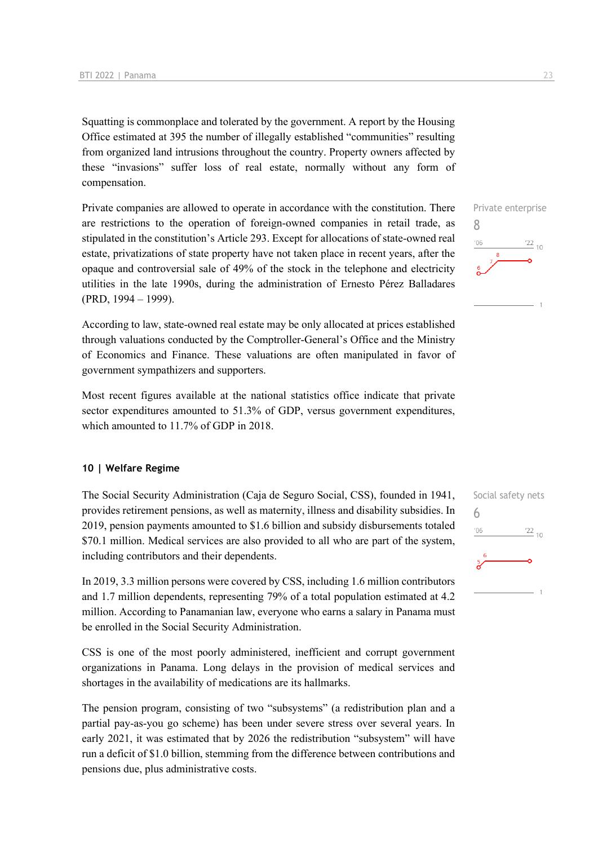Squatting is commonplace and tolerated by the government. A report by the Housing Office estimated at 395 the number of illegally established "communities" resulting from organized land intrusions throughout the country. Property owners affected by these "invasions" suffer loss of real estate, normally without any form of compensation.

Private companies are allowed to operate in accordance with the constitution. There are restrictions to the operation of foreign-owned companies in retail trade, as stipulated in the constitution's Article 293. Except for allocations of state-owned real estate, privatizations of state property have not taken place in recent years, after the opaque and controversial sale of 49% of the stock in the telephone and electricity utilities in the late 1990s, during the administration of Ernesto Pérez Balladares (PRD, 1994 – 1999).

According to law, state-owned real estate may be only allocated at prices established through valuations conducted by the Comptroller-General's Office and the Ministry of Economics and Finance. These valuations are often manipulated in favor of government sympathizers and supporters.

Most recent figures available at the national statistics office indicate that private sector expenditures amounted to 51.3% of GDP, versus government expenditures, which amounted to 11.7% of GDP in 2018.

### **10 | Welfare Regime**

The Social Security Administration (Caja de Seguro Social, CSS), founded in 1941, provides retirement pensions, as well as maternity, illness and disability subsidies. In 2019, pension payments amounted to \$1.6 billion and subsidy disbursements totaled \$70.1 million. Medical services are also provided to all who are part of the system, including contributors and their dependents.

In 2019, 3.3 million persons were covered by CSS, including 1.6 million contributors and 1.7 million dependents, representing 79% of a total population estimated at 4.2 million. According to Panamanian law, everyone who earns a salary in Panama must be enrolled in the Social Security Administration.

CSS is one of the most poorly administered, inefficient and corrupt government organizations in Panama. Long delays in the provision of medical services and shortages in the availability of medications are its hallmarks.

The pension program, consisting of two "subsystems" (a redistribution plan and a partial pay-as-you go scheme) has been under severe stress over several years. In early 2021, it was estimated that by 2026 the redistribution "subsystem" will have run a deficit of \$1.0 billion, stemming from the difference between contributions and pensions due, plus administrative costs.



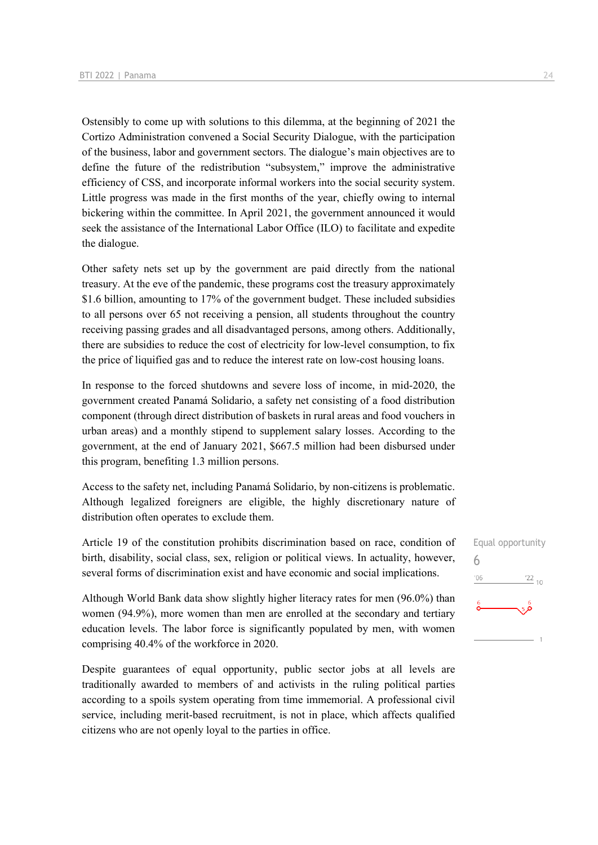Ostensibly to come up with solutions to this dilemma, at the beginning of 2021 the Cortizo Administration convened a Social Security Dialogue, with the participation of the business, labor and government sectors. The dialogue's main objectives are to define the future of the redistribution "subsystem," improve the administrative efficiency of CSS, and incorporate informal workers into the social security system. Little progress was made in the first months of the year, chiefly owing to internal bickering within the committee. In April 2021, the government announced it would seek the assistance of the International Labor Office (ILO) to facilitate and expedite the dialogue.

Other safety nets set up by the government are paid directly from the national treasury. At the eve of the pandemic, these programs cost the treasury approximately \$1.6 billion, amounting to 17% of the government budget. These included subsidies to all persons over 65 not receiving a pension, all students throughout the country receiving passing grades and all disadvantaged persons, among others. Additionally, there are subsidies to reduce the cost of electricity for low-level consumption, to fix the price of liquified gas and to reduce the interest rate on low-cost housing loans.

In response to the forced shutdowns and severe loss of income, in mid-2020, the government created Panamá Solidario, a safety net consisting of a food distribution component (through direct distribution of baskets in rural areas and food vouchers in urban areas) and a monthly stipend to supplement salary losses. According to the government, at the end of January 2021, \$667.5 million had been disbursed under this program, benefiting 1.3 million persons.

Access to the safety net, including Panamá Solidario, by non-citizens is problematic. Although legalized foreigners are eligible, the highly discretionary nature of distribution often operates to exclude them.

Article 19 of the constitution prohibits discrimination based on race, condition of birth, disability, social class, sex, religion or political views. In actuality, however, several forms of discrimination exist and have economic and social implications.

Although World Bank data show slightly higher literacy rates for men (96.0%) than women (94.9%), more women than men are enrolled at the secondary and tertiary education levels. The labor force is significantly populated by men, with women comprising 40.4% of the workforce in 2020.

Despite guarantees of equal opportunity, public sector jobs at all levels are traditionally awarded to members of and activists in the ruling political parties according to a spoils system operating from time immemorial. A professional civil service, including merit-based recruitment, is not in place, which affects qualified citizens who are not openly loyal to the parties in office.

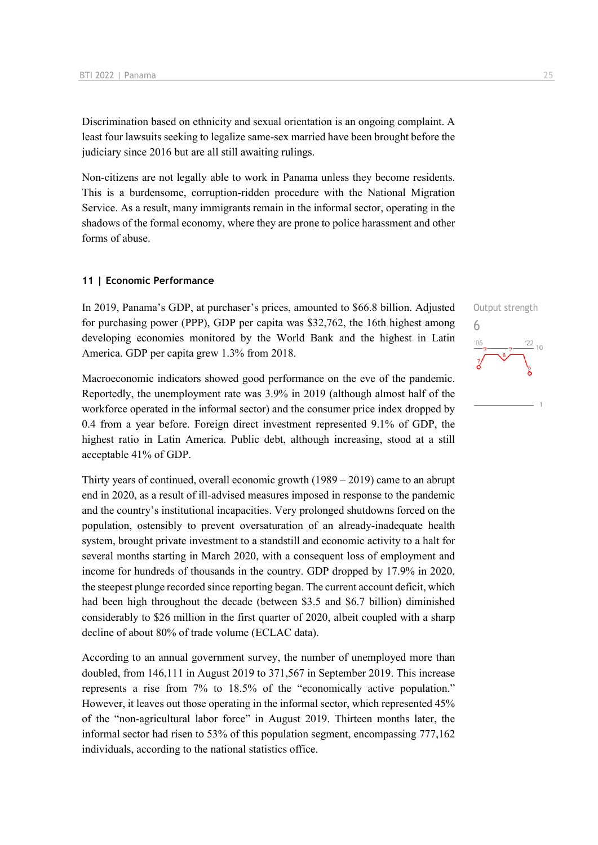Discrimination based on ethnicity and sexual orientation is an ongoing complaint. A least four lawsuits seeking to legalize same-sex married have been brought before the judiciary since 2016 but are all still awaiting rulings.

Non-citizens are not legally able to work in Panama unless they become residents. This is a burdensome, corruption-ridden procedure with the National Migration Service. As a result, many immigrants remain in the informal sector, operating in the shadows of the formal economy, where they are prone to police harassment and other forms of abuse.

### **11 | Economic Performance**

In 2019, Panama's GDP, at purchaser's prices, amounted to \$66.8 billion. Adjusted for purchasing power (PPP), GDP per capita was \$32,762, the 16th highest among developing economies monitored by the World Bank and the highest in Latin America. GDP per capita grew 1.3% from 2018.

Macroeconomic indicators showed good performance on the eve of the pandemic. Reportedly, the unemployment rate was 3.9% in 2019 (although almost half of the workforce operated in the informal sector) and the consumer price index dropped by 0.4 from a year before. Foreign direct investment represented 9.1% of GDP, the highest ratio in Latin America. Public debt, although increasing, stood at a still acceptable 41% of GDP.

Thirty years of continued, overall economic growth (1989 – 2019) came to an abrupt end in 2020, as a result of ill-advised measures imposed in response to the pandemic and the country's institutional incapacities. Very prolonged shutdowns forced on the population, ostensibly to prevent oversaturation of an already-inadequate health system, brought private investment to a standstill and economic activity to a halt for several months starting in March 2020, with a consequent loss of employment and income for hundreds of thousands in the country. GDP dropped by 17.9% in 2020, the steepest plunge recorded since reporting began. The current account deficit, which had been high throughout the decade (between \$3.5 and \$6.7 billion) diminished considerably to \$26 million in the first quarter of 2020, albeit coupled with a sharp decline of about 80% of trade volume (ECLAC data).

According to an annual government survey, the number of unemployed more than doubled, from 146,111 in August 2019 to 371,567 in September 2019. This increase represents a rise from 7% to 18.5% of the "economically active population." However, it leaves out those operating in the informal sector, which represented 45% of the "non-agricultural labor force" in August 2019. Thirteen months later, the informal sector had risen to 53% of this population segment, encompassing 777,162 individuals, according to the national statistics office.

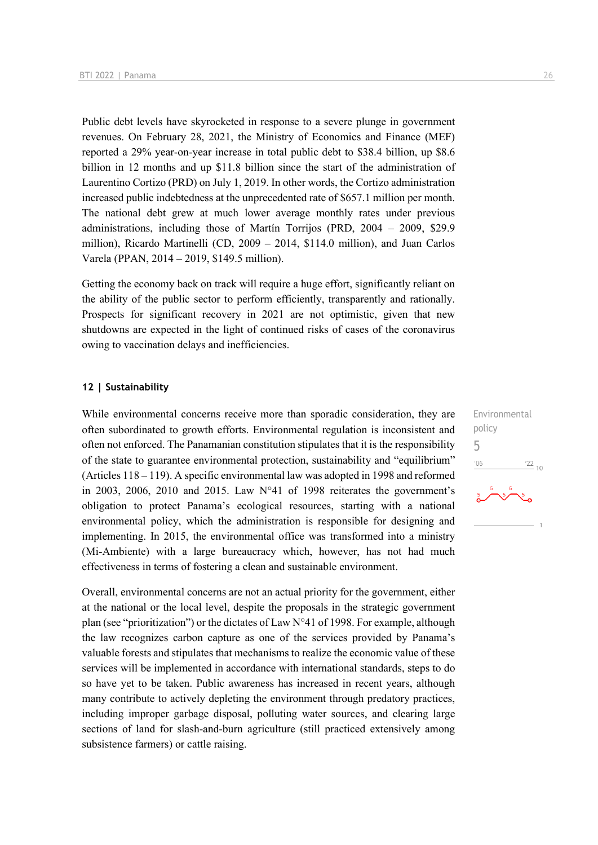Public debt levels have skyrocketed in response to a severe plunge in government revenues. On February 28, 2021, the Ministry of Economics and Finance (MEF) reported a 29% year-on-year increase in total public debt to \$38.4 billion, up \$8.6 billion in 12 months and up \$11.8 billion since the start of the administration of Laurentino Cortizo (PRD) on July 1, 2019. In other words, the Cortizo administration increased public indebtedness at the unprecedented rate of \$657.1 million per month. The national debt grew at much lower average monthly rates under previous administrations, including those of Martín Torrijos (PRD, 2004 – 2009, \$29.9 million), Ricardo Martinelli (CD, 2009 – 2014, \$114.0 million), and Juan Carlos Varela (PPAN, 2014 – 2019, \$149.5 million).

Getting the economy back on track will require a huge effort, significantly reliant on the ability of the public sector to perform efficiently, transparently and rationally. Prospects for significant recovery in 2021 are not optimistic, given that new shutdowns are expected in the light of continued risks of cases of the coronavirus owing to vaccination delays and inefficiencies.

### **12 | Sustainability**

While environmental concerns receive more than sporadic consideration, they are often subordinated to growth efforts. Environmental regulation is inconsistent and often not enforced. The Panamanian constitution stipulates that it is the responsibility of the state to guarantee environmental protection, sustainability and "equilibrium" (Articles 118 – 119). A specific environmental law was adopted in 1998 and reformed in 2003, 2006, 2010 and 2015. Law  $N^{\circ}41$  of 1998 reiterates the government's obligation to protect Panama's ecological resources, starting with a national environmental policy, which the administration is responsible for designing and implementing. In 2015, the environmental office was transformed into a ministry (Mi-Ambiente) with a large bureaucracy which, however, has not had much effectiveness in terms of fostering a clean and sustainable environment.

Overall, environmental concerns are not an actual priority for the government, either at the national or the local level, despite the proposals in the strategic government plan (see "prioritization") or the dictates of Law N°41 of 1998. For example, although the law recognizes carbon capture as one of the services provided by Panama's valuable forests and stipulates that mechanisms to realize the economic value of these services will be implemented in accordance with international standards, steps to do so have yet to be taken. Public awareness has increased in recent years, although many contribute to actively depleting the environment through predatory practices, including improper garbage disposal, polluting water sources, and clearing large sections of land for slash-and-burn agriculture (still practiced extensively among subsistence farmers) or cattle raising.

Environmental policy 5 $06'$  $\frac{22}{10}$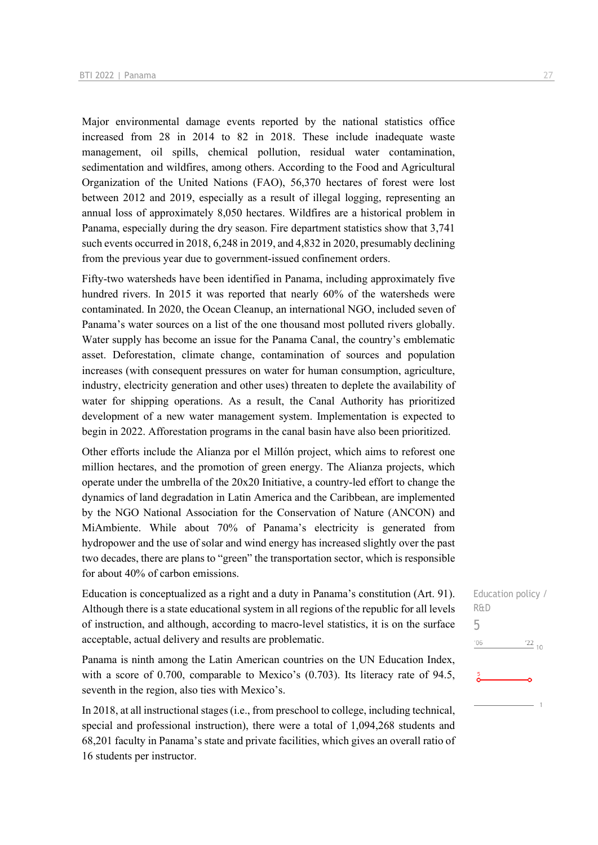Major environmental damage events reported by the national statistics office increased from 28 in 2014 to 82 in 2018. These include inadequate waste management, oil spills, chemical pollution, residual water contamination, sedimentation and wildfires, among others. According to the Food and Agricultural Organization of the United Nations (FAO), 56,370 hectares of forest were lost between 2012 and 2019, especially as a result of illegal logging, representing an annual loss of approximately 8,050 hectares. Wildfires are a historical problem in Panama, especially during the dry season. Fire department statistics show that 3,741 such events occurred in 2018, 6,248 in 2019, and 4,832 in 2020, presumably declining from the previous year due to government-issued confinement orders.

Fifty-two watersheds have been identified in Panama, including approximately five hundred rivers. In 2015 it was reported that nearly 60% of the watersheds were contaminated. In 2020, the Ocean Cleanup, an international NGO, included seven of Panama's water sources on a list of the one thousand most polluted rivers globally. Water supply has become an issue for the Panama Canal, the country's emblematic asset. Deforestation, climate change, contamination of sources and population increases (with consequent pressures on water for human consumption, agriculture, industry, electricity generation and other uses) threaten to deplete the availability of water for shipping operations. As a result, the Canal Authority has prioritized development of a new water management system. Implementation is expected to begin in 2022. Afforestation programs in the canal basin have also been prioritized.

Other efforts include the Alianza por el Millón project, which aims to reforest one million hectares, and the promotion of green energy. The Alianza projects, which operate under the umbrella of the 20x20 Initiative, a country-led effort to change the dynamics of land degradation in Latin America and the Caribbean, are implemented by the NGO National Association for the Conservation of Nature (ANCON) and MiAmbiente. While about 70% of Panama's electricity is generated from hydropower and the use of solar and wind energy has increased slightly over the past two decades, there are plans to "green" the transportation sector, which is responsible for about 40% of carbon emissions.

Education is conceptualized as a right and a duty in Panama's constitution (Art. 91). Although there is a state educational system in all regions of the republic for all levels of instruction, and although, according to macro-level statistics, it is on the surface acceptable, actual delivery and results are problematic.

Panama is ninth among the Latin American countries on the UN Education Index, with a score of 0.700, comparable to Mexico's (0.703). Its literacy rate of 94.5, seventh in the region, also ties with Mexico's.

In 2018, at all instructional stages (i.e., from preschool to college, including technical, special and professional instruction), there were a total of 1,094,268 students and 68,201 faculty in Panama's state and private facilities, which gives an overall ratio of 16 students per instructor.

Education policy / R&D 5 $06'$  $\frac{22}{10}$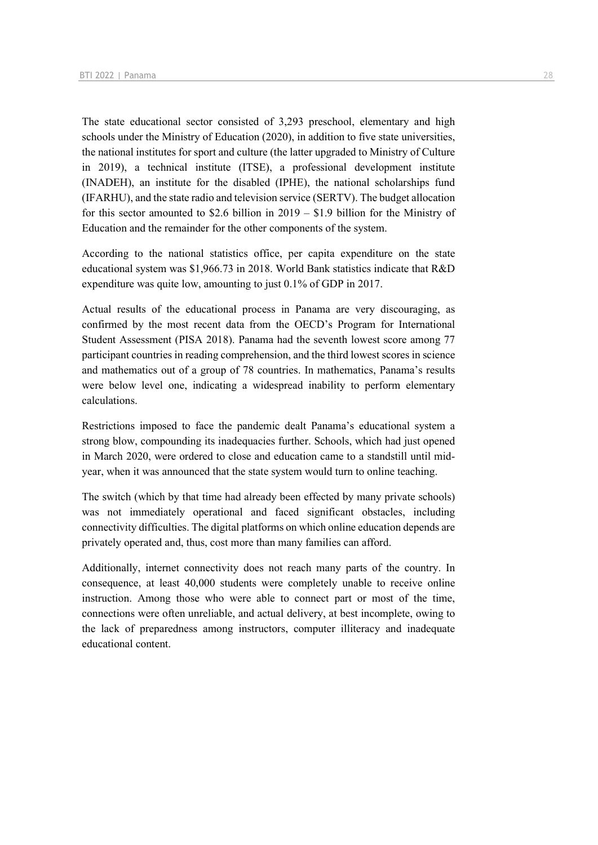The state educational sector consisted of 3,293 preschool, elementary and high schools under the Ministry of Education (2020), in addition to five state universities, the national institutes for sport and culture (the latter upgraded to Ministry of Culture in 2019), a technical institute (ITSE), a professional development institute (INADEH), an institute for the disabled (IPHE), the national scholarships fund (IFARHU), and the state radio and television service (SERTV). The budget allocation for this sector amounted to \$2.6 billion in 2019 – \$1.9 billion for the Ministry of Education and the remainder for the other components of the system.

According to the national statistics office, per capita expenditure on the state educational system was \$1,966.73 in 2018. World Bank statistics indicate that R&D expenditure was quite low, amounting to just 0.1% of GDP in 2017.

Actual results of the educational process in Panama are very discouraging, as confirmed by the most recent data from the OECD's Program for International Student Assessment (PISA 2018). Panama had the seventh lowest score among 77 participant countries in reading comprehension, and the third lowest scores in science and mathematics out of a group of 78 countries. In mathematics, Panama's results were below level one, indicating a widespread inability to perform elementary calculations.

Restrictions imposed to face the pandemic dealt Panama's educational system a strong blow, compounding its inadequacies further. Schools, which had just opened in March 2020, were ordered to close and education came to a standstill until midyear, when it was announced that the state system would turn to online teaching.

The switch (which by that time had already been effected by many private schools) was not immediately operational and faced significant obstacles, including connectivity difficulties. The digital platforms on which online education depends are privately operated and, thus, cost more than many families can afford.

Additionally, internet connectivity does not reach many parts of the country. In consequence, at least 40,000 students were completely unable to receive online instruction. Among those who were able to connect part or most of the time, connections were often unreliable, and actual delivery, at best incomplete, owing to the lack of preparedness among instructors, computer illiteracy and inadequate educational content.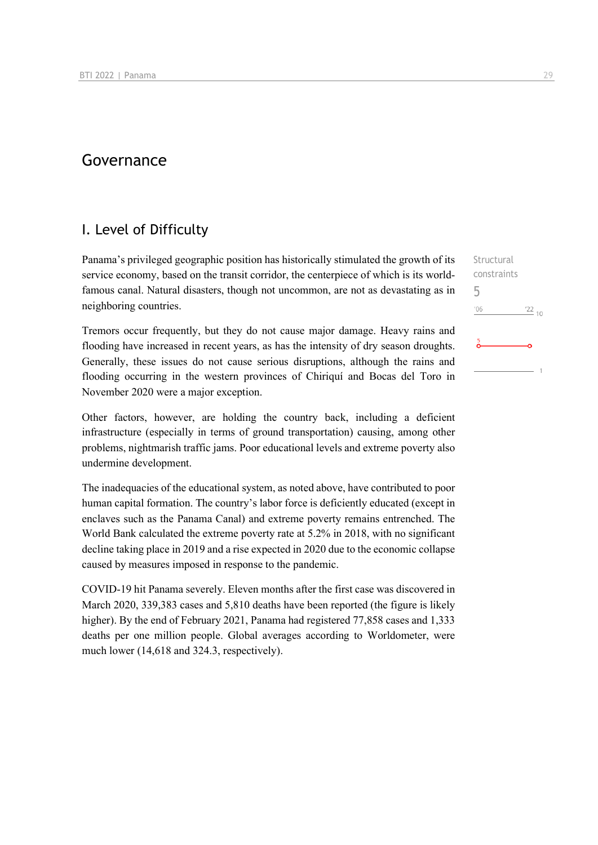## Governance

### I. Level of Difficulty

Panama's privileged geographic position has historically stimulated the growth of its service economy, based on the transit corridor, the centerpiece of which is its worldfamous canal. Natural disasters, though not uncommon, are not as devastating as in neighboring countries.

Tremors occur frequently, but they do not cause major damage. Heavy rains and flooding have increased in recent years, as has the intensity of dry season droughts. Generally, these issues do not cause serious disruptions, although the rains and flooding occurring in the western provinces of Chiriquí and Bocas del Toro in November 2020 were a major exception.

Other factors, however, are holding the country back, including a deficient infrastructure (especially in terms of ground transportation) causing, among other problems, nightmarish traffic jams. Poor educational levels and extreme poverty also undermine development.

The inadequacies of the educational system, as noted above, have contributed to poor human capital formation. The country's labor force is deficiently educated (except in enclaves such as the Panama Canal) and extreme poverty remains entrenched. The World Bank calculated the extreme poverty rate at 5.2% in 2018, with no significant decline taking place in 2019 and a rise expected in 2020 due to the economic collapse caused by measures imposed in response to the pandemic.

COVID-19 hit Panama severely. Eleven months after the first case was discovered in March 2020, 339,383 cases and 5,810 deaths have been reported (the figure is likely higher). By the end of February 2021, Panama had registered 77,858 cases and 1,333 deaths per one million people. Global averages according to Worldometer, were much lower (14,618 and 324.3, respectively).

Structural constraints 5 $-06$  $^{22}$  10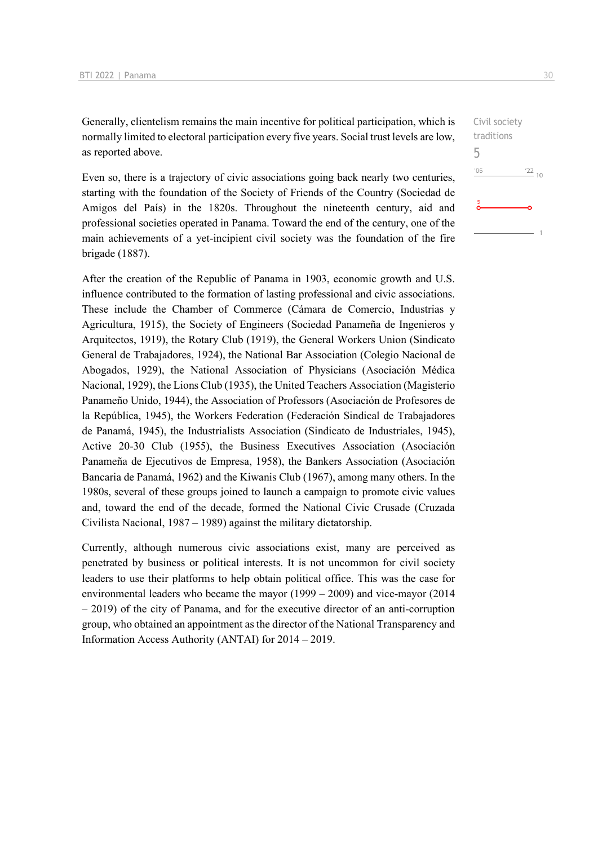Generally, clientelism remains the main incentive for political participation, which is normally limited to electoral participation every five years. Social trust levels are low, as reported above.

Even so, there is a trajectory of civic associations going back nearly two centuries, starting with the foundation of the Society of Friends of the Country (Sociedad de Amigos del País) in the 1820s. Throughout the nineteenth century, aid and professional societies operated in Panama. Toward the end of the century, one of the main achievements of a yet-incipient civil society was the foundation of the fire brigade (1887).

After the creation of the Republic of Panama in 1903, economic growth and U.S. influence contributed to the formation of lasting professional and civic associations. These include the Chamber of Commerce (Cámara de Comercio, Industrias y Agricultura, 1915), the Society of Engineers (Sociedad Panameña de Ingenieros y Arquitectos, 1919), the Rotary Club (1919), the General Workers Union (Sindicato General de Trabajadores, 1924), the National Bar Association (Colegio Nacional de Abogados, 1929), the National Association of Physicians (Asociación Médica Nacional, 1929), the Lions Club (1935), the United Teachers Association (Magisterio Panameño Unido, 1944), the Association of Professors (Asociación de Profesores de la República, 1945), the Workers Federation (Federación Sindical de Trabajadores de Panamá, 1945), the Industrialists Association (Sindicato de Industriales, 1945), Active 20-30 Club (1955), the Business Executives Association (Asociación Panameña de Ejecutivos de Empresa, 1958), the Bankers Association (Asociación Bancaria de Panamá, 1962) and the Kiwanis Club (1967), among many others. In the 1980s, several of these groups joined to launch a campaign to promote civic values and, toward the end of the decade, formed the National Civic Crusade (Cruzada Civilista Nacional, 1987 – 1989) against the military dictatorship.

Currently, although numerous civic associations exist, many are perceived as penetrated by business or political interests. It is not uncommon for civil society leaders to use their platforms to help obtain political office. This was the case for environmental leaders who became the mayor (1999 – 2009) and vice-mayor (2014 – 2019) of the city of Panama, and for the executive director of an anti-corruption group, who obtained an appointment as the director of the National Transparency and Information Access Authority (ANTAI) for 2014 – 2019.

Civil society traditions 5 $-06$  $\frac{22}{10}$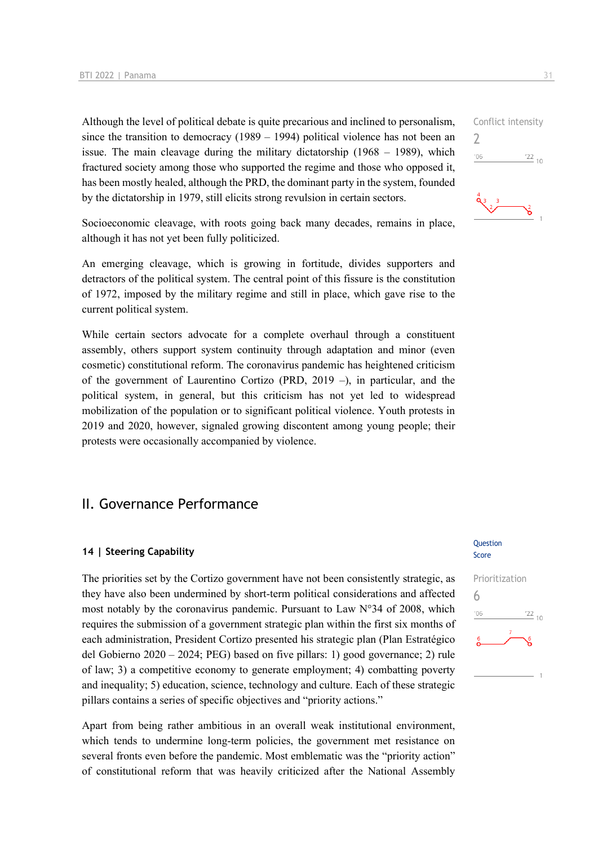Although the level of political debate is quite precarious and inclined to personalism, since the transition to democracy  $(1989 - 1994)$  political violence has not been an issue. The main cleavage during the military dictatorship  $(1968 - 1989)$ , which fractured society among those who supported the regime and those who opposed it, has been mostly healed, although the PRD, the dominant party in the system, founded by the dictatorship in 1979, still elicits strong revulsion in certain sectors.

Socioeconomic cleavage, with roots going back many decades, remains in place, although it has not yet been fully politicized.

An emerging cleavage, which is growing in fortitude, divides supporters and detractors of the political system. The central point of this fissure is the constitution of 1972, imposed by the military regime and still in place, which gave rise to the current political system.

While certain sectors advocate for a complete overhaul through a constituent assembly, others support system continuity through adaptation and minor (even cosmetic) constitutional reform. The coronavirus pandemic has heightened criticism of the government of Laurentino Cortizo (PRD, 2019 –), in particular, and the political system, in general, but this criticism has not yet led to widespread mobilization of the population or to significant political violence. Youth protests in 2019 and 2020, however, signaled growing discontent among young people; their protests were occasionally accompanied by violence.

### II. Governance Performance

### **14 | Steering Capability**

The priorities set by the Cortizo government have not been consistently strategic, as they have also been undermined by short-term political considerations and affected most notably by the coronavirus pandemic. Pursuant to Law N°34 of 2008, which requires the submission of a government strategic plan within the first six months of each administration, President Cortizo presented his strategic plan (Plan Estratégico del Gobierno 2020 – 2024; PEG) based on five pillars: 1) good governance; 2) rule of law; 3) a competitive economy to generate employment; 4) combatting poverty and inequality; 5) education, science, technology and culture. Each of these strategic pillars contains a series of specific objectives and "priority actions."

Apart from being rather ambitious in an overall weak institutional environment, which tends to undermine long-term policies, the government met resistance on several fronts even before the pandemic. Most emblematic was the "priority action" of constitutional reform that was heavily criticized after the National Assembly

### Question Score



## Conflict intensity 2  $\frac{22}{10}$  $106$ ۱â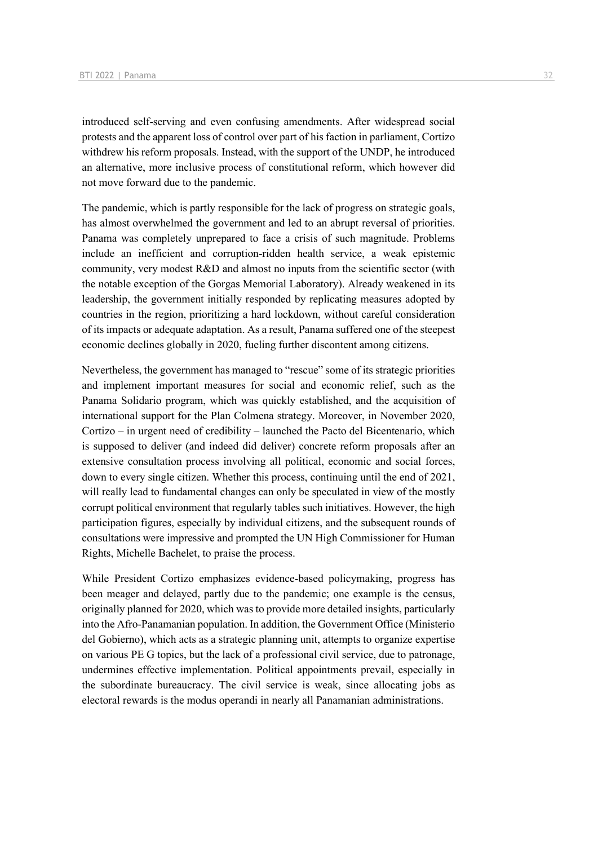introduced self-serving and even confusing amendments. After widespread social protests and the apparent loss of control over part of his faction in parliament, Cortizo withdrew his reform proposals. Instead, with the support of the UNDP, he introduced an alternative, more inclusive process of constitutional reform, which however did not move forward due to the pandemic.

The pandemic, which is partly responsible for the lack of progress on strategic goals, has almost overwhelmed the government and led to an abrupt reversal of priorities. Panama was completely unprepared to face a crisis of such magnitude. Problems include an inefficient and corruption-ridden health service, a weak epistemic community, very modest R&D and almost no inputs from the scientific sector (with the notable exception of the Gorgas Memorial Laboratory). Already weakened in its leadership, the government initially responded by replicating measures adopted by countries in the region, prioritizing a hard lockdown, without careful consideration of its impacts or adequate adaptation. As a result, Panama suffered one of the steepest economic declines globally in 2020, fueling further discontent among citizens.

Nevertheless, the government has managed to "rescue" some of its strategic priorities and implement important measures for social and economic relief, such as the Panama Solidario program, which was quickly established, and the acquisition of international support for the Plan Colmena strategy. Moreover, in November 2020, Cortizo – in urgent need of credibility – launched the Pacto del Bicentenario, which is supposed to deliver (and indeed did deliver) concrete reform proposals after an extensive consultation process involving all political, economic and social forces, down to every single citizen. Whether this process, continuing until the end of 2021, will really lead to fundamental changes can only be speculated in view of the mostly corrupt political environment that regularly tables such initiatives. However, the high participation figures, especially by individual citizens, and the subsequent rounds of consultations were impressive and prompted the UN High Commissioner for Human Rights, Michelle Bachelet, to praise the process.

While President Cortizo emphasizes evidence-based policymaking, progress has been meager and delayed, partly due to the pandemic; one example is the census, originally planned for 2020, which was to provide more detailed insights, particularly into the Afro-Panamanian population. In addition, the Government Office (Ministerio del Gobierno), which acts as a strategic planning unit, attempts to organize expertise on various PE G topics, but the lack of a professional civil service, due to patronage, undermines effective implementation. Political appointments prevail, especially in the subordinate bureaucracy. The civil service is weak, since allocating jobs as electoral rewards is the modus operandi in nearly all Panamanian administrations.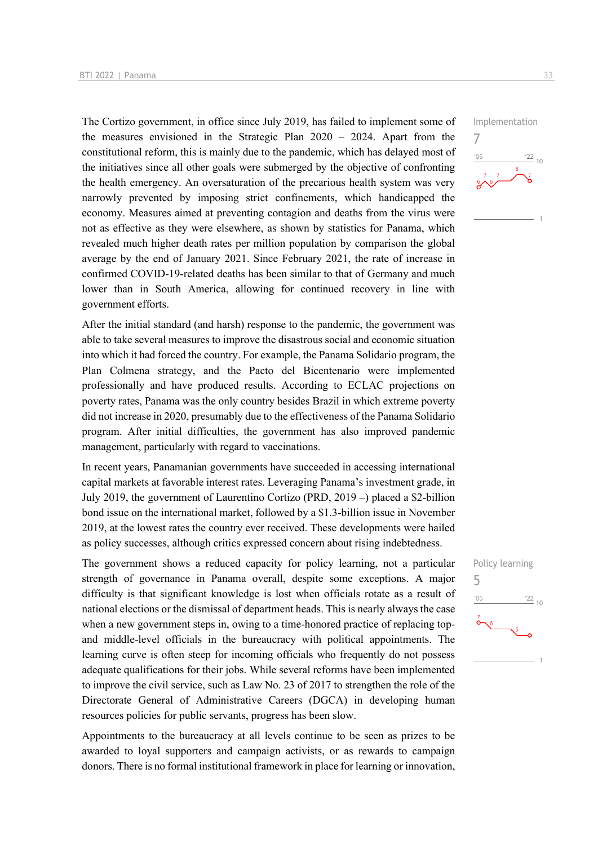The Cortizo government, in office since July 2019, has failed to implement some of the measures envisioned in the Strategic Plan 2020 – 2024. Apart from the constitutional reform, this is mainly due to the pandemic, which has delayed most of the initiatives since all other goals were submerged by the objective of confronting the health emergency. An oversaturation of the precarious health system was very narrowly prevented by imposing strict confinements, which handicapped the economy. Measures aimed at preventing contagion and deaths from the virus were not as effective as they were elsewhere, as shown by statistics for Panama, which revealed much higher death rates per million population by comparison the global average by the end of January 2021. Since February 2021, the rate of increase in confirmed COVID-19-related deaths has been similar to that of Germany and much lower than in South America, allowing for continued recovery in line with government efforts.

After the initial standard (and harsh) response to the pandemic, the government was able to take several measures to improve the disastrous social and economic situation into which it had forced the country. For example, the Panama Solidario program, the Plan Colmena strategy, and the Pacto del Bicentenario were implemented professionally and have produced results. According to ECLAC projections on poverty rates, Panama was the only country besides Brazil in which extreme poverty did not increase in 2020, presumably due to the effectiveness of the Panama Solidario program. After initial difficulties, the government has also improved pandemic management, particularly with regard to vaccinations.

In recent years, Panamanian governments have succeeded in accessing international capital markets at favorable interest rates. Leveraging Panama's investment grade, in July 2019, the government of Laurentino Cortizo (PRD, 2019 –) placed a \$2-billion bond issue on the international market, followed by a \$1.3-billion issue in November 2019, at the lowest rates the country ever received. These developments were hailed as policy successes, although critics expressed concern about rising indebtedness.

The government shows a reduced capacity for policy learning, not a particular strength of governance in Panama overall, despite some exceptions. A major difficulty is that significant knowledge is lost when officials rotate as a result of national elections or the dismissal of department heads. This is nearly always the case when a new government steps in, owing to a time-honored practice of replacing topand middle-level officials in the bureaucracy with political appointments. The learning curve is often steep for incoming officials who frequently do not possess adequate qualifications for their jobs. While several reforms have been implemented to improve the civil service, such as Law No. 23 of 2017 to strengthen the role of the Directorate General of Administrative Careers (DGCA) in developing human resources policies for public servants, progress has been slow.

Appointments to the bureaucracy at all levels continue to be seen as prizes to be awarded to loyal supporters and campaign activists, or as rewards to campaign donors. There is no formal institutional framework in place for learning or innovation,



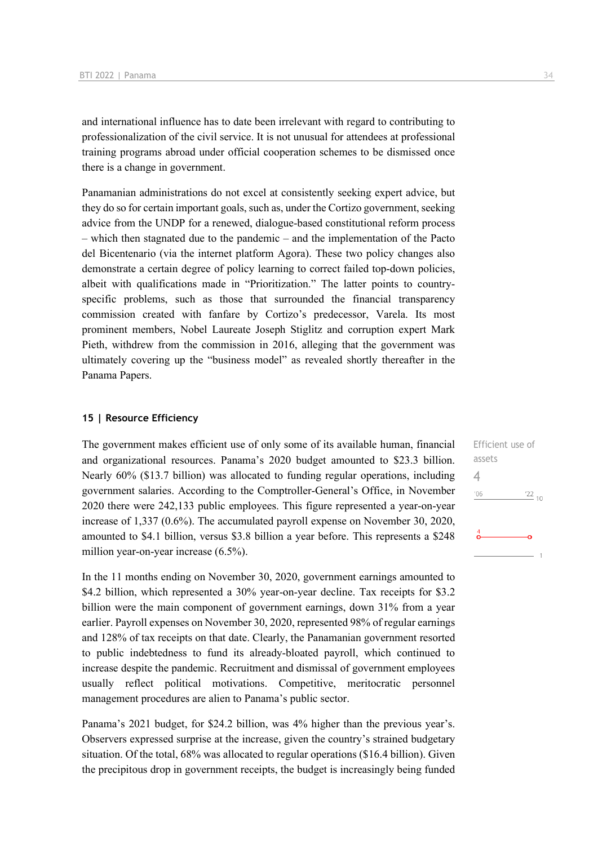and international influence has to date been irrelevant with regard to contributing to professionalization of the civil service. It is not unusual for attendees at professional training programs abroad under official cooperation schemes to be dismissed once there is a change in government.

Panamanian administrations do not excel at consistently seeking expert advice, but they do so for certain important goals, such as, under the Cortizo government, seeking advice from the UNDP for a renewed, dialogue-based constitutional reform process – which then stagnated due to the pandemic – and the implementation of the Pacto del Bicentenario (via the internet platform Agora). These two policy changes also demonstrate a certain degree of policy learning to correct failed top-down policies, albeit with qualifications made in "Prioritization." The latter points to countryspecific problems, such as those that surrounded the financial transparency commission created with fanfare by Cortizo's predecessor, Varela. Its most prominent members, Nobel Laureate Joseph Stiglitz and corruption expert Mark Pieth, withdrew from the commission in 2016, alleging that the government was ultimately covering up the "business model" as revealed shortly thereafter in the Panama Papers.

### **15 | Resource Efficiency**

The government makes efficient use of only some of its available human, financial and organizational resources. Panama's 2020 budget amounted to \$23.3 billion. Nearly 60% (\$13.7 billion) was allocated to funding regular operations, including government salaries. According to the Comptroller-General's Office, in November 2020 there were 242,133 public employees. This figure represented a year-on-year increase of 1,337 (0.6%). The accumulated payroll expense on November 30, 2020, amounted to \$4.1 billion, versus \$3.8 billion a year before. This represents a \$248 million year-on-year increase (6.5%).

In the 11 months ending on November 30, 2020, government earnings amounted to \$4.2 billion, which represented a 30% year-on-year decline. Tax receipts for \$3.2 billion were the main component of government earnings, down 31% from a year earlier. Payroll expenses on November 30, 2020, represented 98% of regular earnings and 128% of tax receipts on that date. Clearly, the Panamanian government resorted to public indebtedness to fund its already-bloated payroll, which continued to increase despite the pandemic. Recruitment and dismissal of government employees usually reflect political motivations. Competitive, meritocratic personnel management procedures are alien to Panama's public sector.

Panama's 2021 budget, for \$24.2 billion, was 4% higher than the previous year's. Observers expressed surprise at the increase, given the country's strained budgetary situation. Of the total, 68% was allocated to regular operations (\$16.4 billion). Given the precipitous drop in government receipts, the budget is increasingly being funded Efficient use of assets 4 $\frac{22}{10}$  $^{\prime}06$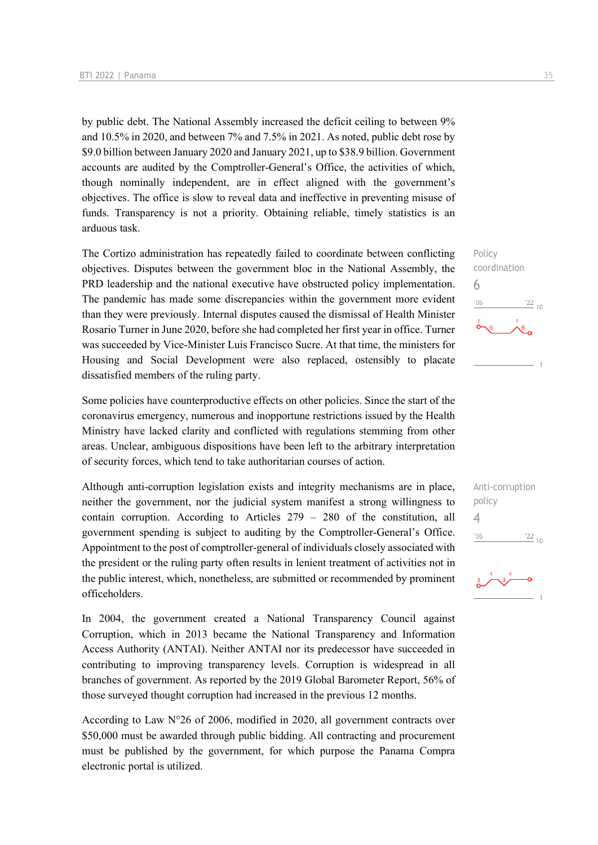by public debt. The National Assembly increased the deficit ceiling to between 9% and 10.5% in 2020, and between 7% and 7.5% in 2021. As noted, public debt rose by \$9.0 billion between January 2020 and January 2021, up to \$38.9 billion. Government accounts are audited by the Comptroller-General's Office, the activities of which, though nominally independent, are in effect aligned with the government's objectives. The office is slow to reveal data and ineffective in preventing misuse of funds. Transparency is not a priority. Obtaining reliable, timely statistics is an arduous task.

The Cortizo administration has repeatedly failed to coordinate between conflicting objectives. Disputes between the government bloc in the National Assembly, the PRD leadership and the national executive have obstructed policy implementation. The pandemic has made some discrepancies within the government more evident than they were previously. Internal disputes caused the dismissal of Health Minister Rosario Turner in June 2020, before she had completed her first year in office. Turner was succeeded by Vice-Minister Luis Francisco Sucre. At that time, the ministers for Housing and Social Development were also replaced, ostensibly to placate dissatisfied members of the ruling party.

Some policies have counterproductive effects on other policies. Since the start of the coronavirus emergency, numerous and inopportune restrictions issued by the Health Ministry have lacked clarity and conflicted with regulations stemming from other areas. Unclear, ambiguous dispositions have been left to the arbitrary interpretation of security forces, which tend to take authoritarian courses of action.

Although anti-corruption legislation exists and integrity mechanisms are in place, neither the government, nor the judicial system manifest a strong willingness to contain corruption. According to Articles 279 – 280 of the constitution, all government spending is subject to auditing by the Comptroller-General's Office. Appointment to the post of comptroller-general of individuals closely associated with the president or the ruling party often results in lenient treatment of activities not in the public interest, which, nonetheless, are submitted or recommended by prominent officeholders.

In 2004, the government created a National Transparency Council against Corruption, which in 2013 became the National Transparency and Information Access Authority (ANTAI). Neither ANTAI nor its predecessor have succeeded in contributing to improving transparency levels. Corruption is widespread in all branches of government. As reported by the 2019 Global Barometer Report, 56% of those surveyed thought corruption had increased in the previous 12 months.

According to Law N°26 of 2006, modified in 2020, all government contracts over \$50,000 must be awarded through public bidding. All contracting and procurement must be published by the government, for which purpose the Panama Compra electronic portal is utilized.

Policy coordination 6  $\frac{22}{10}$  $^{\prime}06$ 

Anti-corruption policy 4 $-06$  $\frac{22}{10}$ 

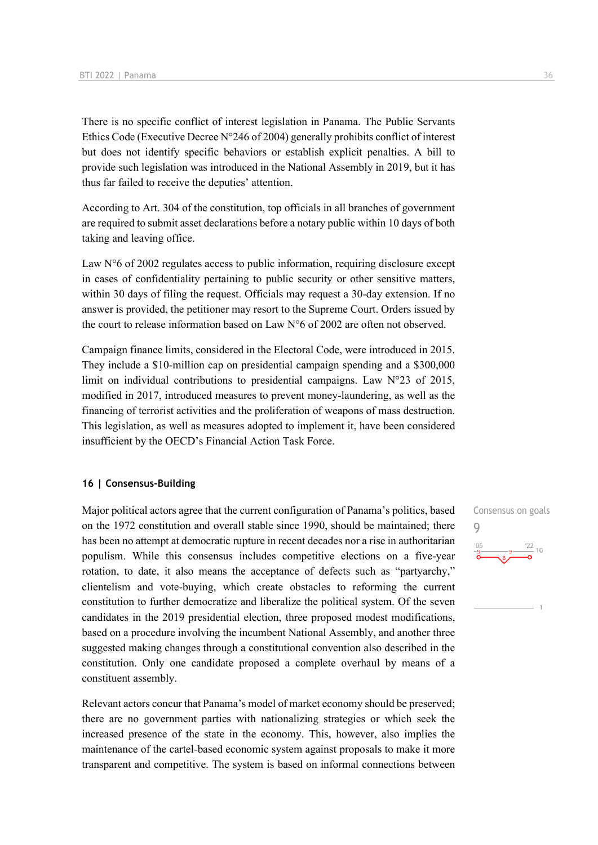There is no specific conflict of interest legislation in Panama. The Public Servants Ethics Code (Executive Decree  $N^{\circ}246$  of 2004) generally prohibits conflict of interest but does not identify specific behaviors or establish explicit penalties. A bill to provide such legislation was introduced in the National Assembly in 2019, but it has thus far failed to receive the deputies' attention.

According to Art. 304 of the constitution, top officials in all branches of government are required to submit asset declarations before a notary public within 10 days of both taking and leaving office.

Law  $N<sup>°</sup>6$  of 2002 regulates access to public information, requiring disclosure except in cases of confidentiality pertaining to public security or other sensitive matters, within 30 days of filing the request. Officials may request a 30-day extension. If no answer is provided, the petitioner may resort to the Supreme Court. Orders issued by the court to release information based on Law N°6 of 2002 are often not observed.

Campaign finance limits, considered in the Electoral Code, were introduced in 2015. They include a \$10-million cap on presidential campaign spending and a \$300,000 limit on individual contributions to presidential campaigns. Law N°23 of 2015, modified in 2017, introduced measures to prevent money-laundering, as well as the financing of terrorist activities and the proliferation of weapons of mass destruction. This legislation, as well as measures adopted to implement it, have been considered insufficient by the OECD's Financial Action Task Force.

### **16 | Consensus-Building**

Major political actors agree that the current configuration of Panama's politics, based on the 1972 constitution and overall stable since 1990, should be maintained; there has been no attempt at democratic rupture in recent decades nor a rise in authoritarian populism. While this consensus includes competitive elections on a five-year rotation, to date, it also means the acceptance of defects such as "partyarchy," clientelism and vote-buying, which create obstacles to reforming the current constitution to further democratize and liberalize the political system. Of the seven candidates in the 2019 presidential election, three proposed modest modifications, based on a procedure involving the incumbent National Assembly, and another three suggested making changes through a constitutional convention also described in the constitution. Only one candidate proposed a complete overhaul by means of a constituent assembly.

Relevant actors concur that Panama's model of market economy should be preserved; there are no government parties with nationalizing strategies or which seek the increased presence of the state in the economy. This, however, also implies the maintenance of the cartel-based economic system against proposals to make it more transparent and competitive. The system is based on informal connections between Consensus on goals 9 $\frac{22}{10}$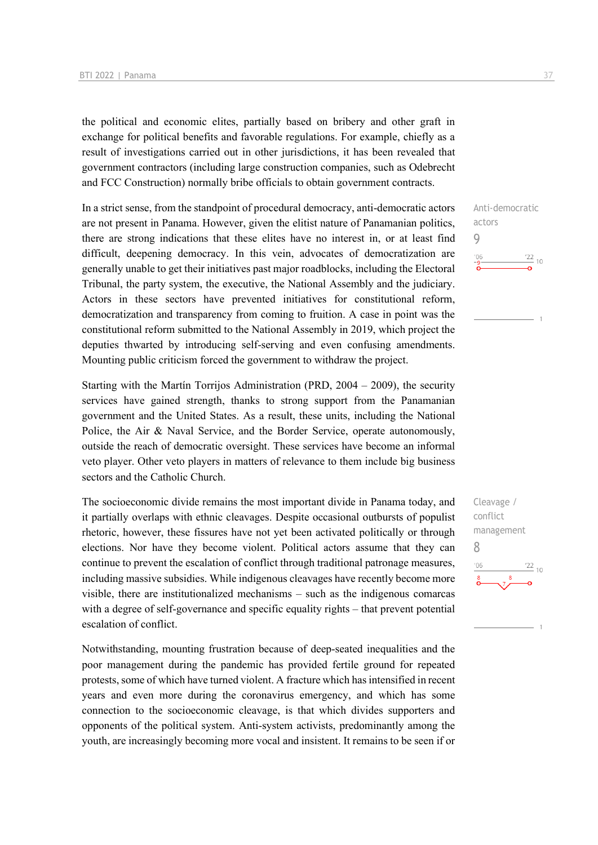the political and economic elites, partially based on bribery and other graft in exchange for political benefits and favorable regulations. For example, chiefly as a result of investigations carried out in other jurisdictions, it has been revealed that government contractors (including large construction companies, such as Odebrecht and FCC Construction) normally bribe officials to obtain government contracts.

In a strict sense, from the standpoint of procedural democracy, anti-democratic actors are not present in Panama. However, given the elitist nature of Panamanian politics, there are strong indications that these elites have no interest in, or at least find difficult, deepening democracy. In this vein, advocates of democratization are generally unable to get their initiatives past major roadblocks, including the Electoral Tribunal, the party system, the executive, the National Assembly and the judiciary. Actors in these sectors have prevented initiatives for constitutional reform, democratization and transparency from coming to fruition. A case in point was the constitutional reform submitted to the National Assembly in 2019, which project the deputies thwarted by introducing self-serving and even confusing amendments. Mounting public criticism forced the government to withdraw the project.

Starting with the Martín Torrijos Administration (PRD, 2004 – 2009), the security services have gained strength, thanks to strong support from the Panamanian government and the United States. As a result, these units, including the National Police, the Air & Naval Service, and the Border Service, operate autonomously, outside the reach of democratic oversight. These services have become an informal veto player. Other veto players in matters of relevance to them include big business sectors and the Catholic Church.

The socioeconomic divide remains the most important divide in Panama today, and it partially overlaps with ethnic cleavages. Despite occasional outbursts of populist rhetoric, however, these fissures have not yet been activated politically or through elections. Nor have they become violent. Political actors assume that they can continue to prevent the escalation of conflict through traditional patronage measures, including massive subsidies. While indigenous cleavages have recently become more visible, there are institutionalized mechanisms – such as the indigenous comarcas with a degree of self-governance and specific equality rights – that prevent potential escalation of conflict.

Notwithstanding, mounting frustration because of deep-seated inequalities and the poor management during the pandemic has provided fertile ground for repeated protests, some of which have turned violent. A fracture which has intensified in recent years and even more during the coronavirus emergency, and which has some connection to the socioeconomic cleavage, is that which divides supporters and opponents of the political system. Anti-system activists, predominantly among the youth, are increasingly becoming more vocal and insistent. It remains to be seen if or

Anti-democratic actors 9  $\frac{22}{10}$  $06'$ 

Cleavage / conflict management 8 $\frac{22}{10}$  $n<sub>f</sub>$ 

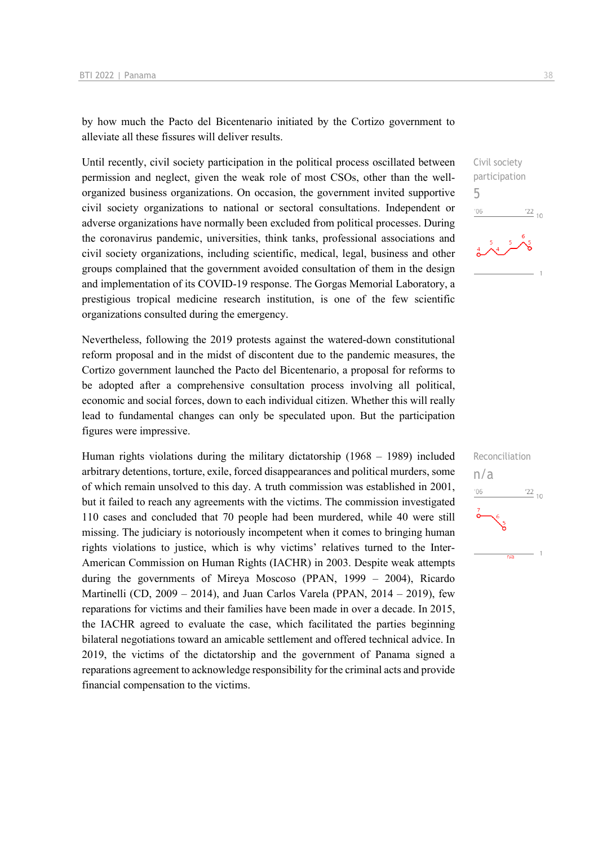by how much the Pacto del Bicentenario initiated by the Cortizo government to alleviate all these fissures will deliver results.

Until recently, civil society participation in the political process oscillated between permission and neglect, given the weak role of most CSOs, other than the wellorganized business organizations. On occasion, the government invited supportive civil society organizations to national or sectoral consultations. Independent or adverse organizations have normally been excluded from political processes. During the coronavirus pandemic, universities, think tanks, professional associations and civil society organizations, including scientific, medical, legal, business and other groups complained that the government avoided consultation of them in the design and implementation of its COVID-19 response. The Gorgas Memorial Laboratory, a prestigious tropical medicine research institution, is one of the few scientific organizations consulted during the emergency.

Nevertheless, following the 2019 protests against the watered-down constitutional reform proposal and in the midst of discontent due to the pandemic measures, the Cortizo government launched the Pacto del Bicentenario, a proposal for reforms to be adopted after a comprehensive consultation process involving all political, economic and social forces, down to each individual citizen. Whether this will really lead to fundamental changes can only be speculated upon. But the participation figures were impressive.

Human rights violations during the military dictatorship (1968 – 1989) included arbitrary detentions, torture, exile, forced disappearances and political murders, some of which remain unsolved to this day. A truth commission was established in 2001, but it failed to reach any agreements with the victims. The commission investigated 110 cases and concluded that 70 people had been murdered, while 40 were still missing. The judiciary is notoriously incompetent when it comes to bringing human rights violations to justice, which is why victims' relatives turned to the Inter-American Commission on Human Rights (IACHR) in 2003. Despite weak attempts during the governments of Mireya Moscoso (PPAN, 1999 – 2004), Ricardo Martinelli (CD,  $2009 - 2014$ ), and Juan Carlos Varela (PPAN,  $2014 - 2019$ ), few reparations for victims and their families have been made in over a decade. In 2015, the IACHR agreed to evaluate the case, which facilitated the parties beginning bilateral negotiations toward an amicable settlement and offered technical advice. In 2019, the victims of the dictatorship and the government of Panama signed a reparations agreement to acknowledge responsibility for the criminal acts and provide financial compensation to the victims.



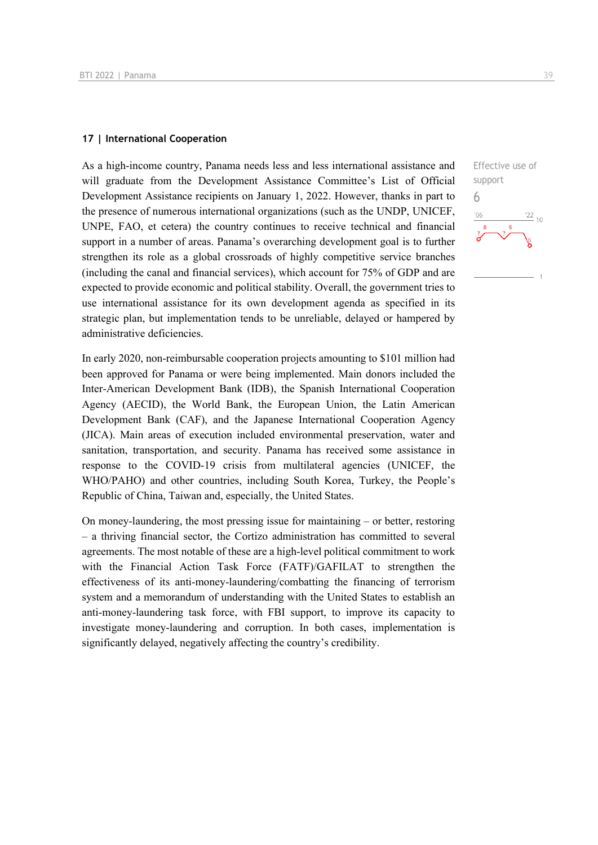### **17 | International Cooperation**

As a high-income country, Panama needs less and less international assistance and will graduate from the Development Assistance Committee's List of Official Development Assistance recipients on January 1, 2022. However, thanks in part to the presence of numerous international organizations (such as the UNDP, UNICEF, UNPE, FAO, et cetera) the country continues to receive technical and financial support in a number of areas. Panama's overarching development goal is to further strengthen its role as a global crossroads of highly competitive service branches (including the canal and financial services), which account for 75% of GDP and are expected to provide economic and political stability. Overall, the government tries to use international assistance for its own development agenda as specified in its strategic plan, but implementation tends to be unreliable, delayed or hampered by administrative deficiencies.

In early 2020, non-reimbursable cooperation projects amounting to \$101 million had been approved for Panama or were being implemented. Main donors included the Inter-American Development Bank (IDB), the Spanish International Cooperation Agency (AECID), the World Bank, the European Union, the Latin American Development Bank (CAF), and the Japanese International Cooperation Agency (JICA). Main areas of execution included environmental preservation, water and sanitation, transportation, and security. Panama has received some assistance in response to the COVID-19 crisis from multilateral agencies (UNICEF, the WHO/PAHO) and other countries, including South Korea, Turkey, the People's Republic of China, Taiwan and, especially, the United States.

On money-laundering, the most pressing issue for maintaining – or better, restoring – a thriving financial sector, the Cortizo administration has committed to several agreements. The most notable of these are a high-level political commitment to work with the Financial Action Task Force (FATF)/GAFILAT to strengthen the effectiveness of its anti-money-laundering/combatting the financing of terrorism system and a memorandum of understanding with the United States to establish an anti-money-laundering task force, with FBI support, to improve its capacity to investigate money-laundering and corruption. In both cases, implementation is significantly delayed, negatively affecting the country's credibility.

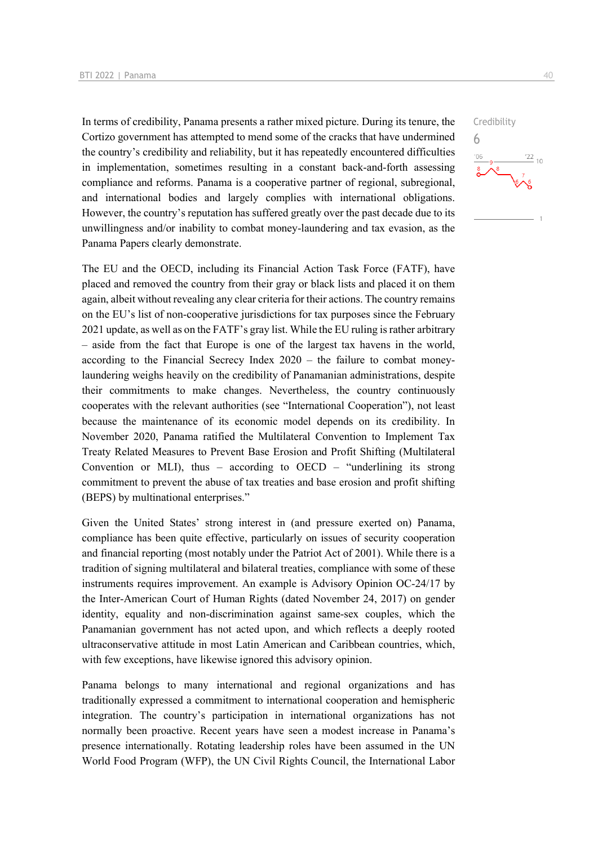In terms of credibility, Panama presents a rather mixed picture. During its tenure, the Cortizo government has attempted to mend some of the cracks that have undermined the country's credibility and reliability, but it has repeatedly encountered difficulties in implementation, sometimes resulting in a constant back-and-forth assessing compliance and reforms. Panama is a cooperative partner of regional, subregional, and international bodies and largely complies with international obligations. However, the country's reputation has suffered greatly over the past decade due to its unwillingness and/or inability to combat money-laundering and tax evasion, as the Panama Papers clearly demonstrate.

The EU and the OECD, including its Financial Action Task Force (FATF), have placed and removed the country from their gray or black lists and placed it on them again, albeit without revealing any clear criteria for their actions. The country remains on the EU's list of non-cooperative jurisdictions for tax purposes since the February 2021 update, as well as on the FATF's gray list. While the EU ruling is rather arbitrary – aside from the fact that Europe is one of the largest tax havens in the world, according to the Financial Secrecy Index 2020 – the failure to combat moneylaundering weighs heavily on the credibility of Panamanian administrations, despite their commitments to make changes. Nevertheless, the country continuously cooperates with the relevant authorities (see "International Cooperation"), not least because the maintenance of its economic model depends on its credibility. In November 2020, Panama ratified the Multilateral Convention to Implement Tax Treaty Related Measures to Prevent Base Erosion and Profit Shifting (Multilateral Convention or MLI), thus – according to OECD – "underlining its strong commitment to prevent the abuse of tax treaties and base erosion and profit shifting (BEPS) by multinational enterprises."

Given the United States' strong interest in (and pressure exerted on) Panama, compliance has been quite effective, particularly on issues of security cooperation and financial reporting (most notably under the Patriot Act of 2001). While there is a tradition of signing multilateral and bilateral treaties, compliance with some of these instruments requires improvement. An example is Advisory Opinion OC-24/17 by the Inter-American Court of Human Rights (dated November 24, 2017) on gender identity, equality and non-discrimination against same-sex couples, which the Panamanian government has not acted upon, and which reflects a deeply rooted ultraconservative attitude in most Latin American and Caribbean countries, which, with few exceptions, have likewise ignored this advisory opinion.

Panama belongs to many international and regional organizations and has traditionally expressed a commitment to international cooperation and hemispheric integration. The country's participation in international organizations has not normally been proactive. Recent years have seen a modest increase in Panama's presence internationally. Rotating leadership roles have been assumed in the UN World Food Program (WFP), the UN Civil Rights Council, the International Labor  $\frac{22}{10}$ 

Credibility

6

 $n<sub>f</sub>$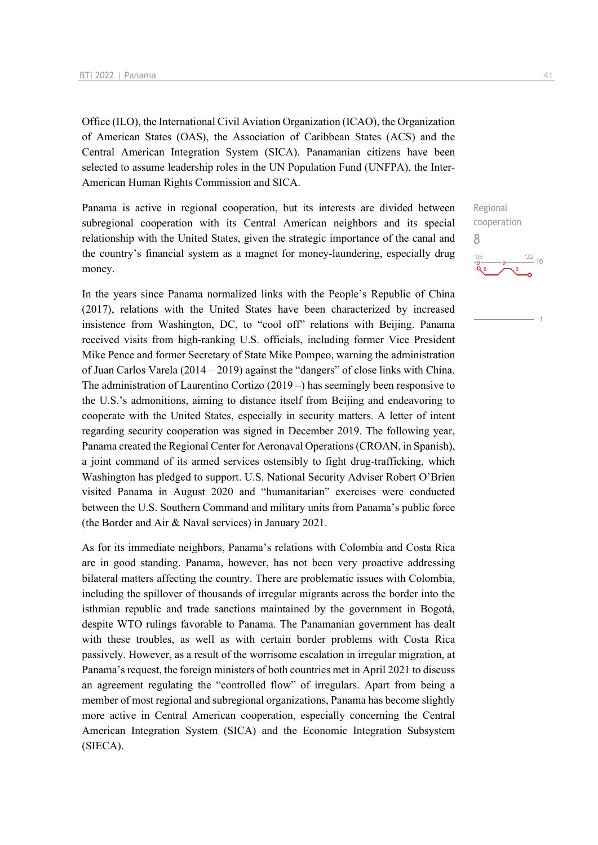Office (ILO), the International Civil Aviation Organization (ICAO), the Organization of American States (OAS), the Association of Caribbean States (ACS) and the Central American Integration System (SICA). Panamanian citizens have been selected to assume leadership roles in the UN Population Fund (UNFPA), the Inter-American Human Rights Commission and SICA.

Panama is active in regional cooperation, but its interests are divided between subregional cooperation with its Central American neighbors and its special relationship with the United States, given the strategic importance of the canal and the country's financial system as a magnet for money-laundering, especially drug money.

In the years since Panama normalized links with the People's Republic of China (2017), relations with the United States have been characterized by increased insistence from Washington, DC, to "cool off" relations with Beijing. Panama received visits from high-ranking U.S. officials, including former Vice President Mike Pence and former Secretary of State Mike Pompeo, warning the administration of Juan Carlos Varela (2014 – 2019) against the "dangers" of close links with China. The administration of Laurentino Cortizo (2019 –) has seemingly been responsive to the U.S.'s admonitions, aiming to distance itself from Beijing and endeavoring to cooperate with the United States, especially in security matters. A letter of intent regarding security cooperation was signed in December 2019. The following year, Panama created the Regional Center for Aeronaval Operations (CROAN, in Spanish), a joint command of its armed services ostensibly to fight drug-trafficking, which Washington has pledged to support. U.S. National Security Adviser Robert O'Brien visited Panama in August 2020 and "humanitarian" exercises were conducted between the U.S. Southern Command and military units from Panama's public force (the Border and Air & Naval services) in January 2021.

As for its immediate neighbors, Panama's relations with Colombia and Costa Rica are in good standing. Panama, however, has not been very proactive addressing bilateral matters affecting the country. There are problematic issues with Colombia, including the spillover of thousands of irregular migrants across the border into the isthmian republic and trade sanctions maintained by the government in Bogotá, despite WTO rulings favorable to Panama. The Panamanian government has dealt with these troubles, as well as with certain border problems with Costa Rica passively. However, as a result of the worrisome escalation in irregular migration, at Panama's request, the foreign ministers of both countries met in April 2021 to discuss an agreement regulating the "controlled flow" of irregulars. Apart from being a member of most regional and subregional organizations, Panama has become slightly more active in Central American cooperation, especially concerning the Central American Integration System (SICA) and the Economic Integration Subsystem (SIECA).

Regional cooperation 8 $\frac{22}{10}$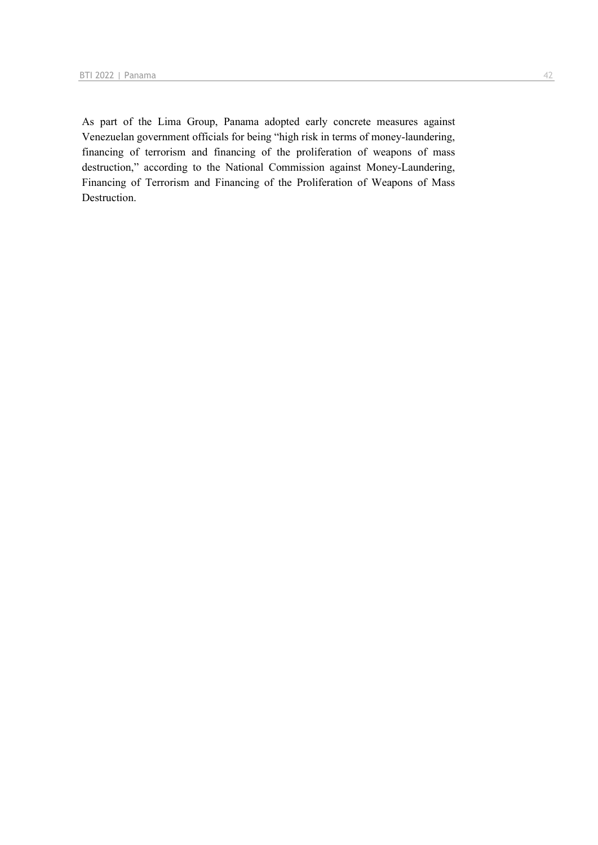As part of the Lima Group, Panama adopted early concrete measures against Venezuelan government officials for being "high risk in terms of money-laundering, financing of terrorism and financing of the proliferation of weapons of mass destruction," according to the National Commission against Money-Laundering, Financing of Terrorism and Financing of the Proliferation of Weapons of Mass Destruction.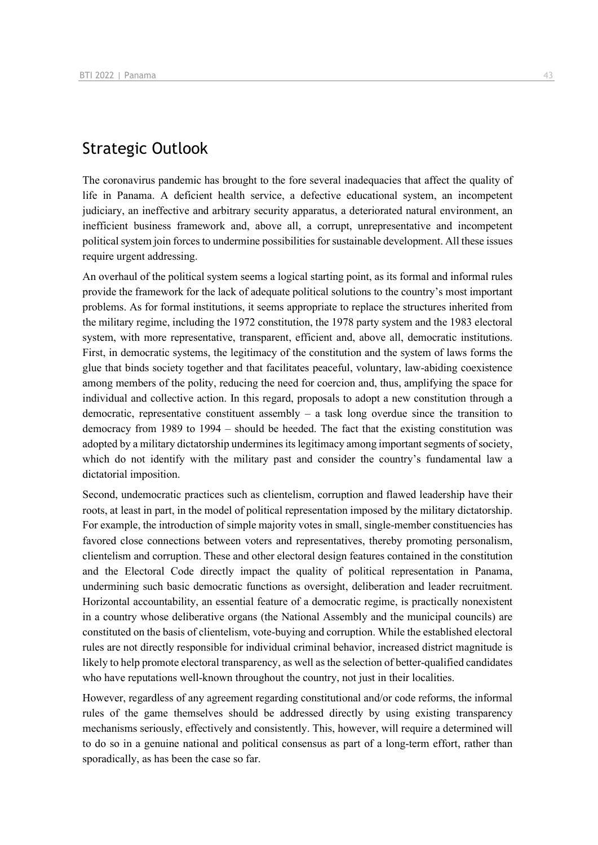## Strategic Outlook

The coronavirus pandemic has brought to the fore several inadequacies that affect the quality of life in Panama. A deficient health service, a defective educational system, an incompetent judiciary, an ineffective and arbitrary security apparatus, a deteriorated natural environment, an inefficient business framework and, above all, a corrupt, unrepresentative and incompetent political system join forces to undermine possibilities for sustainable development. All these issues require urgent addressing.

An overhaul of the political system seems a logical starting point, as its formal and informal rules provide the framework for the lack of adequate political solutions to the country's most important problems. As for formal institutions, it seems appropriate to replace the structures inherited from the military regime, including the 1972 constitution, the 1978 party system and the 1983 electoral system, with more representative, transparent, efficient and, above all, democratic institutions. First, in democratic systems, the legitimacy of the constitution and the system of laws forms the glue that binds society together and that facilitates peaceful, voluntary, law-abiding coexistence among members of the polity, reducing the need for coercion and, thus, amplifying the space for individual and collective action. In this regard, proposals to adopt a new constitution through a democratic, representative constituent assembly  $-$  a task long overdue since the transition to democracy from 1989 to 1994 – should be heeded. The fact that the existing constitution was adopted by a military dictatorship undermines its legitimacy among important segments of society, which do not identify with the military past and consider the country's fundamental law a dictatorial imposition.

Second, undemocratic practices such as clientelism, corruption and flawed leadership have their roots, at least in part, in the model of political representation imposed by the military dictatorship. For example, the introduction of simple majority votes in small, single-member constituencies has favored close connections between voters and representatives, thereby promoting personalism, clientelism and corruption. These and other electoral design features contained in the constitution and the Electoral Code directly impact the quality of political representation in Panama, undermining such basic democratic functions as oversight, deliberation and leader recruitment. Horizontal accountability, an essential feature of a democratic regime, is practically nonexistent in a country whose deliberative organs (the National Assembly and the municipal councils) are constituted on the basis of clientelism, vote-buying and corruption. While the established electoral rules are not directly responsible for individual criminal behavior, increased district magnitude is likely to help promote electoral transparency, as well as the selection of better-qualified candidates who have reputations well-known throughout the country, not just in their localities.

However, regardless of any agreement regarding constitutional and/or code reforms, the informal rules of the game themselves should be addressed directly by using existing transparency mechanisms seriously, effectively and consistently. This, however, will require a determined will to do so in a genuine national and political consensus as part of a long-term effort, rather than sporadically, as has been the case so far.